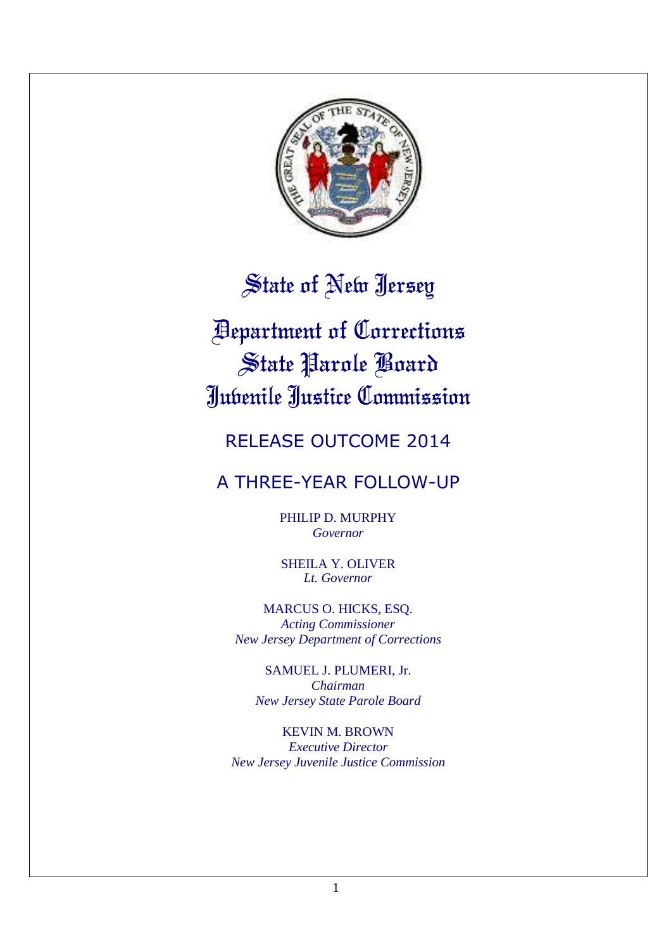

# State of New Jersey

# Department of Corrections State Parole Board Juvenile Justice Commission

## RELEASE OUTCOME 2014

## A THREE-YEAR FOLLOW-UP

PHILIP D. MURPHY *Governor*

SHEILA Y. OLIVER *Lt. Governor*

MARCUS O. HICKS, ESQ. *Acting Commissioner New Jersey Department of Corrections*

SAMUEL J. PLUMERI, Jr. *Chairman New Jersey State Parole Board*

KEVIN M. BROWN *Executive Director New Jersey Juvenile Justice Commission*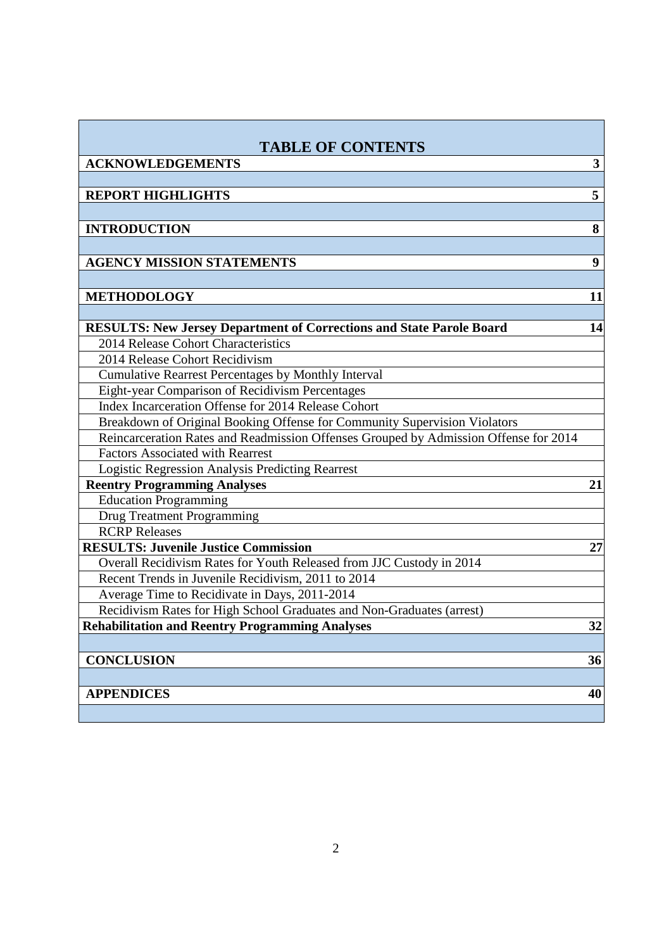| <b>TABLE OF CONTENTS</b>                                                             |              |
|--------------------------------------------------------------------------------------|--------------|
| <b>ACKNOWLEDGEMENTS</b>                                                              | $\mathbf{3}$ |
|                                                                                      |              |
| <b>REPORT HIGHLIGHTS</b>                                                             | 5            |
|                                                                                      |              |
| <b>INTRODUCTION</b>                                                                  | 8            |
|                                                                                      |              |
| <b>AGENCY MISSION STATEMENTS</b>                                                     | 9            |
|                                                                                      |              |
| <b>METHODOLOGY</b>                                                                   | 11           |
|                                                                                      |              |
| <b>RESULTS: New Jersey Department of Corrections and State Parole Board</b>          | 14           |
| 2014 Release Cohort Characteristics                                                  |              |
| 2014 Release Cohort Recidivism                                                       |              |
| <b>Cumulative Rearrest Percentages by Monthly Interval</b>                           |              |
| Eight-year Comparison of Recidivism Percentages                                      |              |
| Index Incarceration Offense for 2014 Release Cohort                                  |              |
| Breakdown of Original Booking Offense for Community Supervision Violators            |              |
| Reincarceration Rates and Readmission Offenses Grouped by Admission Offense for 2014 |              |
| <b>Factors Associated with Rearrest</b>                                              |              |
| <b>Logistic Regression Analysis Predicting Rearrest</b>                              |              |
| <b>Reentry Programming Analyses</b>                                                  | 21           |
| <b>Education Programming</b>                                                         |              |
| <b>Drug Treatment Programming</b>                                                    |              |
| <b>RCRP</b> Releases                                                                 |              |
| <b>RESULTS: Juvenile Justice Commission</b>                                          | 27           |
| Overall Recidivism Rates for Youth Released from JJC Custody in 2014                 |              |
| Recent Trends in Juvenile Recidivism, 2011 to 2014                                   |              |
| Average Time to Recidivate in Days, 2011-2014                                        |              |
| Recidivism Rates for High School Graduates and Non-Graduates (arrest)                |              |
| <b>Rehabilitation and Reentry Programming Analyses</b>                               | 32           |
|                                                                                      |              |
| <b>CONCLUSION</b>                                                                    | 36           |
|                                                                                      |              |
| <b>APPENDICES</b>                                                                    | 40           |
|                                                                                      |              |
|                                                                                      |              |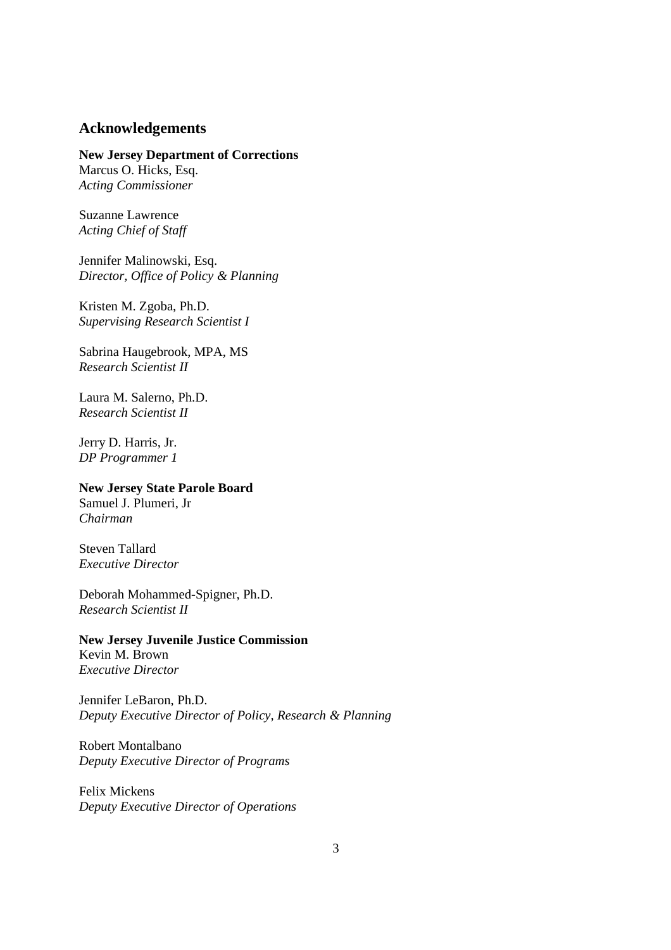#### **Acknowledgements**

**New Jersey Department of Corrections**  Marcus O. Hicks, Esq. *Acting Commissioner* 

Suzanne Lawrence *Acting Chief of Staff* 

Jennifer Malinowski, Esq. *Director, Office of Policy & Planning* 

Kristen M. Zgoba, Ph.D. *Supervising Research Scientist I* 

Sabrina Haugebrook, MPA, MS *Research Scientist II* 

Laura M. Salerno, Ph.D. *Research Scientist II* 

Jerry D. Harris, Jr. *DP Programmer 1* 

## **New Jersey State Parole Board**

Samuel J. Plumeri, Jr *Chairman* 

Steven Tallard *Executive Director* 

Deborah Mohammed-Spigner, Ph.D. *Research Scientist II* 

**New Jersey Juvenile Justice Commission**  Kevin M. Brown *Executive Director* 

Jennifer LeBaron, Ph.D. *Deputy Executive Director of Policy, Research & Planning* 

Robert Montalbano *Deputy Executive Director of Programs* 

Felix Mickens *Deputy Executive Director of Operations*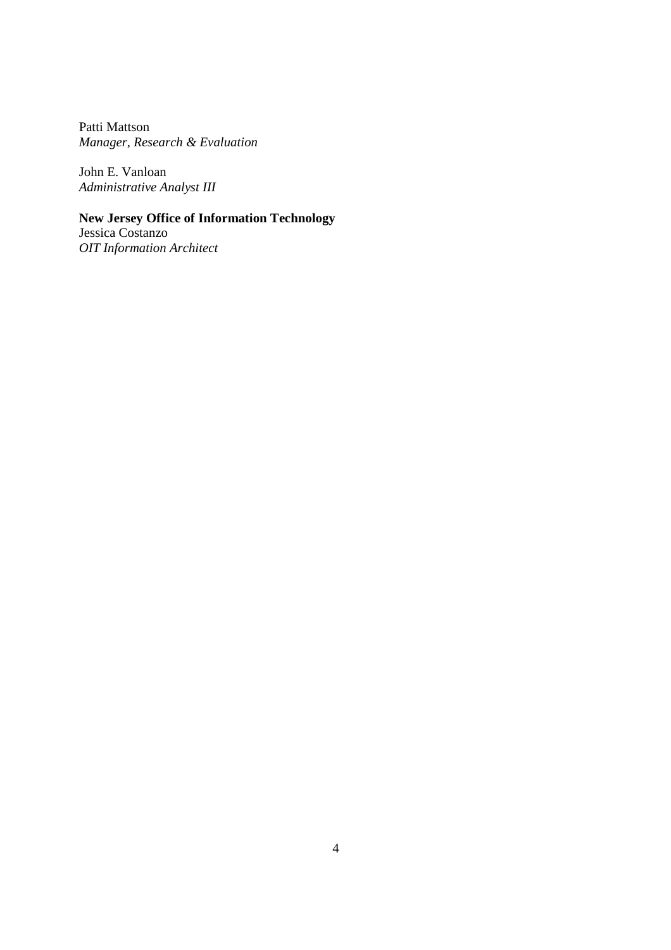Patti Mattson *Manager, Research & Evaluation* 

John E. Vanloan *Administrative Analyst III* 

## **New Jersey Office of Information Technology**

Jessica Costanzo *OIT Information Architect*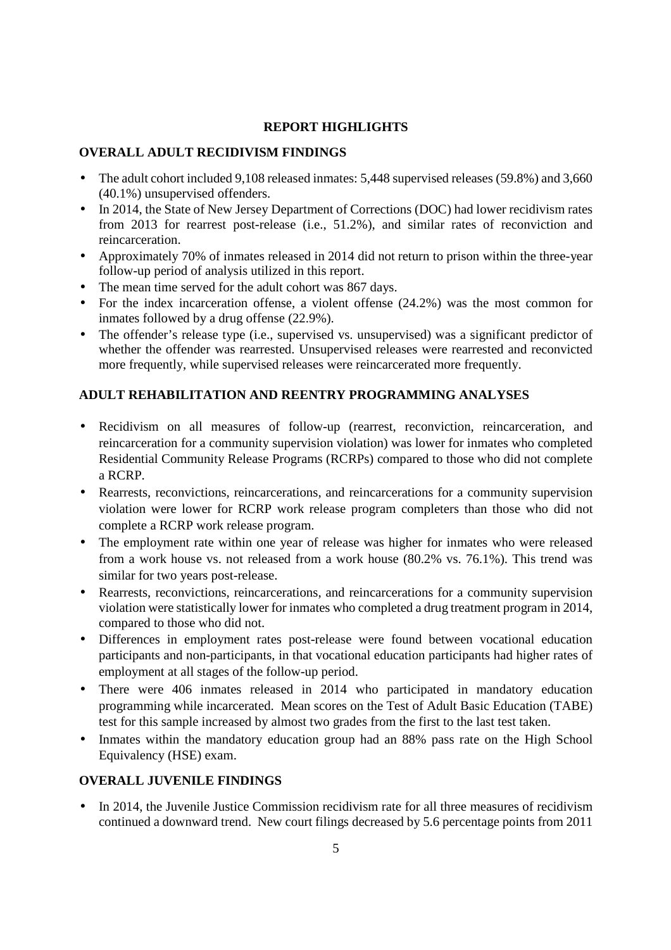#### **REPORT HIGHLIGHTS**

#### **OVERALL ADULT RECIDIVISM FINDINGS**

- The adult cohort included 9,108 released inmates: 5,448 supervised releases (59.8%) and 3,660 (40.1%) unsupervised offenders.
- In 2014, the State of New Jersey Department of Corrections (DOC) had lower recidivism rates from 2013 for rearrest post-release (i.e., 51.2%), and similar rates of reconviction and reincarceration.
- Approximately 70% of inmates released in 2014 did not return to prison within the three-year follow-up period of analysis utilized in this report.
- The mean time served for the adult cohort was 867 days.
- For the index incarceration offense, a violent offense (24.2%) was the most common for inmates followed by a drug offense (22.9%).
- The offender's release type (i.e., supervised vs. unsupervised) was a significant predictor of whether the offender was rearrested. Unsupervised releases were rearrested and reconvicted more frequently, while supervised releases were reincarcerated more frequently.

### **ADULT REHABILITATION AND REENTRY PROGRAMMING ANALYSES**

- Recidivism on all measures of follow-up (rearrest, reconviction, reincarceration, and reincarceration for a community supervision violation) was lower for inmates who completed Residential Community Release Programs (RCRPs) compared to those who did not complete a RCRP.
- Rearrests, reconvictions, reincarcerations, and reincarcerations for a community supervision violation were lower for RCRP work release program completers than those who did not complete a RCRP work release program.
- The employment rate within one year of release was higher for inmates who were released from a work house vs. not released from a work house (80.2% vs. 76.1%). This trend was similar for two years post-release.
- Rearrests, reconvictions, reincarcerations, and reincarcerations for a community supervision violation were statistically lower for inmates who completed a drug treatment program in 2014, compared to those who did not.
- Differences in employment rates post-release were found between vocational education participants and non-participants, in that vocational education participants had higher rates of employment at all stages of the follow-up period.
- There were 406 inmates released in 2014 who participated in mandatory education programming while incarcerated. Mean scores on the Test of Adult Basic Education (TABE) test for this sample increased by almost two grades from the first to the last test taken.
- Inmates within the mandatory education group had an 88% pass rate on the High School Equivalency (HSE) exam.

#### **OVERALL JUVENILE FINDINGS**

• In 2014, the Juvenile Justice Commission recidivism rate for all three measures of recidivism continued a downward trend. New court filings decreased by 5.6 percentage points from 2011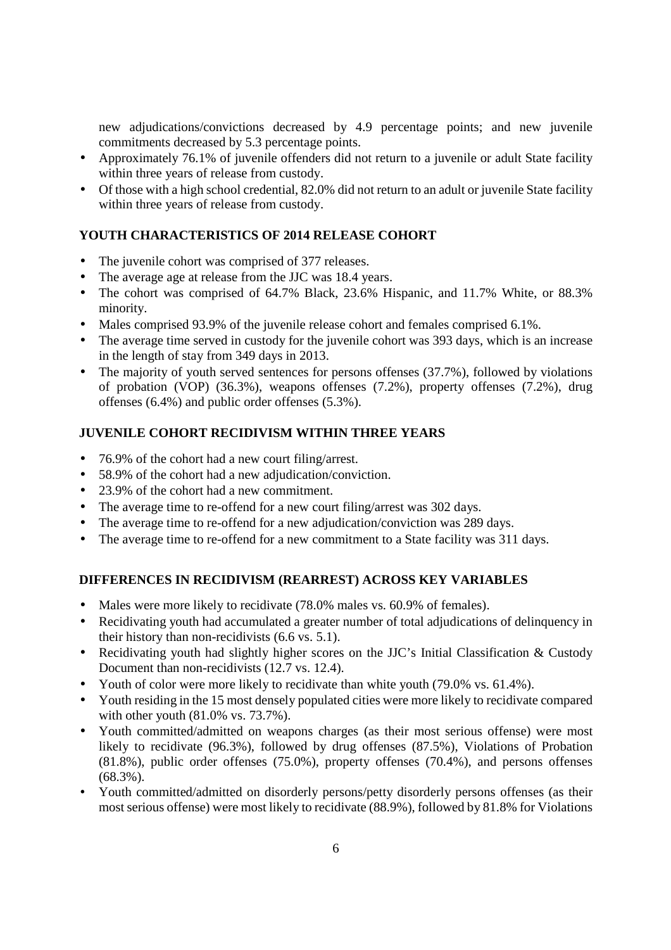new adjudications/convictions decreased by 4.9 percentage points; and new juvenile commitments decreased by 5.3 percentage points.

- Approximately 76.1% of juvenile offenders did not return to a juvenile or adult State facility within three years of release from custody.
- Of those with a high school credential, 82.0% did not return to an adult or juvenile State facility within three years of release from custody.

#### **YOUTH CHARACTERISTICS OF 2014 RELEASE COHORT**

- The juvenile cohort was comprised of 377 releases.
- The average age at release from the JJC was 18.4 years.
- The cohort was comprised of 64.7% Black, 23.6% Hispanic, and 11.7% White, or 88.3% minority.
- Males comprised 93.9% of the juvenile release cohort and females comprised 6.1%.
- The average time served in custody for the juvenile cohort was 393 days, which is an increase in the length of stay from 349 days in 2013.
- The majority of youth served sentences for persons offenses (37.7%), followed by violations of probation (VOP) (36.3%), weapons offenses (7.2%), property offenses (7.2%), drug offenses (6.4%) and public order offenses (5.3%).

#### **JUVENILE COHORT RECIDIVISM WITHIN THREE YEARS**

- 76.9% of the cohort had a new court filing/arrest.
- 58.9% of the cohort had a new adjudication/conviction.
- 23.9% of the cohort had a new commitment.
- The average time to re-offend for a new court filing/arrest was 302 days.
- The average time to re-offend for a new adjudication/conviction was 289 days.
- The average time to re-offend for a new commitment to a State facility was 311 days.

#### **DIFFERENCES IN RECIDIVISM (REARREST) ACROSS KEY VARIABLES**

- Males were more likely to recidivate (78.0% males vs. 60.9% of females).
- Recidivating youth had accumulated a greater number of total adjudications of delinquency in their history than non-recidivists (6.6 vs. 5.1).
- Recidivating youth had slightly higher scores on the JJC's Initial Classification & Custody Document than non-recidivists (12.7 vs. 12.4).
- Youth of color were more likely to recidivate than white youth (79.0% vs. 61.4%).
- Youth residing in the 15 most densely populated cities were more likely to recidivate compared with other youth (81.0% vs. 73.7%).
- Youth committed/admitted on weapons charges (as their most serious offense) were most likely to recidivate (96.3%), followed by drug offenses (87.5%), Violations of Probation (81.8%), public order offenses (75.0%), property offenses (70.4%), and persons offenses (68.3%).
- Youth committed/admitted on disorderly persons/petty disorderly persons offenses (as their most serious offense) were most likely to recidivate (88.9%), followed by 81.8% for Violations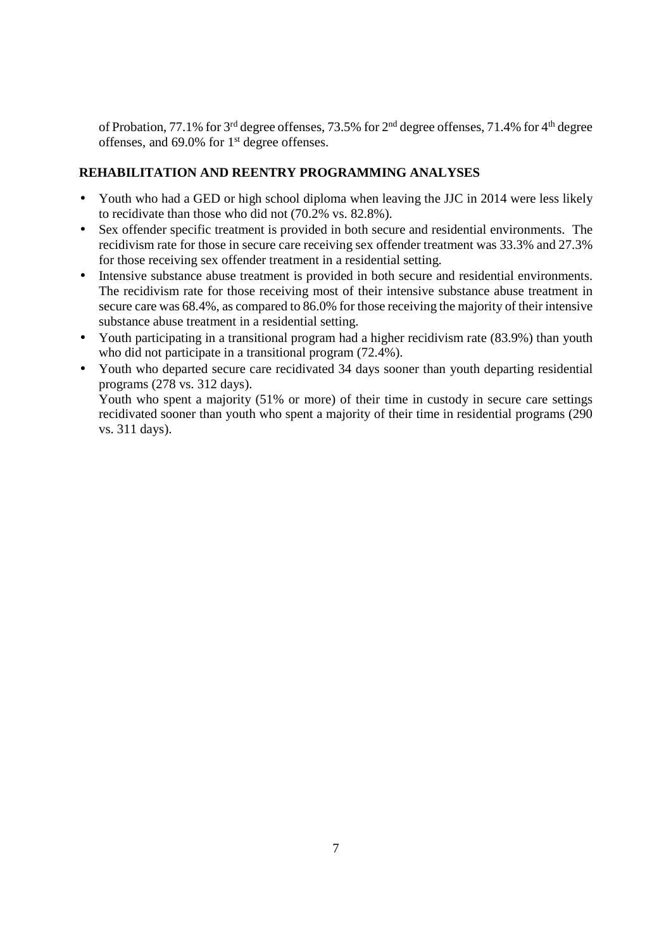of Probation, 77.1% for 3rd degree offenses, 73.5% for 2nd degree offenses, 71.4% for 4th degree offenses, and 69.0% for 1<sup>st</sup> degree offenses.

#### **REHABILITATION AND REENTRY PROGRAMMING ANALYSES**

- Youth who had a GED or high school diploma when leaving the JJC in 2014 were less likely to recidivate than those who did not (70.2% vs. 82.8%).
- Sex offender specific treatment is provided in both secure and residential environments. The recidivism rate for those in secure care receiving sex offender treatment was 33.3% and 27.3% for those receiving sex offender treatment in a residential setting.
- Intensive substance abuse treatment is provided in both secure and residential environments. The recidivism rate for those receiving most of their intensive substance abuse treatment in secure care was 68.4%, as compared to 86.0% for those receiving the majority of their intensive substance abuse treatment in a residential setting.
- Youth participating in a transitional program had a higher recidivism rate (83.9%) than youth who did not participate in a transitional program (72.4%).
- Youth who departed secure care recidivated 34 days sooner than youth departing residential programs (278 vs. 312 days).

Youth who spent a majority (51% or more) of their time in custody in secure care settings recidivated sooner than youth who spent a majority of their time in residential programs (290 vs. 311 days).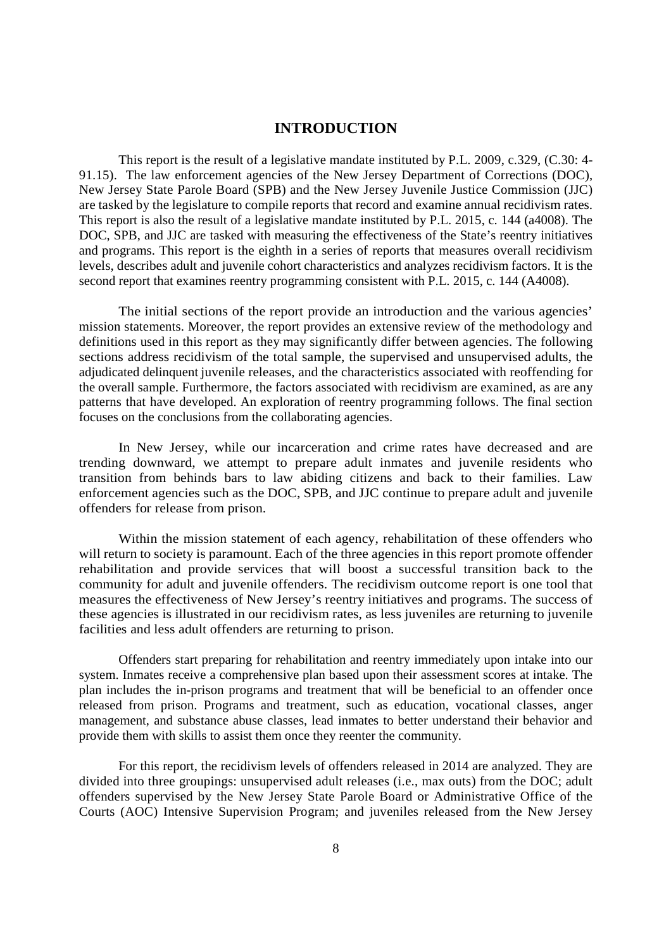#### **INTRODUCTION**

This report is the result of a legislative mandate instituted by P.L. 2009, c.329, (C.30: 4- 91.15). The law enforcement agencies of the New Jersey Department of Corrections (DOC), New Jersey State Parole Board (SPB) and the New Jersey Juvenile Justice Commission (JJC) are tasked by the legislature to compile reports that record and examine annual recidivism rates. This report is also the result of a legislative mandate instituted by P.L. 2015, c. 144 (a4008). The DOC, SPB, and JJC are tasked with measuring the effectiveness of the State's reentry initiatives and programs. This report is the eighth in a series of reports that measures overall recidivism levels, describes adult and juvenile cohort characteristics and analyzes recidivism factors. It is the second report that examines reentry programming consistent with P.L. 2015, c. 144 (A4008).

The initial sections of the report provide an introduction and the various agencies' mission statements. Moreover, the report provides an extensive review of the methodology and definitions used in this report as they may significantly differ between agencies. The following sections address recidivism of the total sample, the supervised and unsupervised adults, the adjudicated delinquent juvenile releases, and the characteristics associated with reoffending for the overall sample. Furthermore, the factors associated with recidivism are examined, as are any patterns that have developed. An exploration of reentry programming follows. The final section focuses on the conclusions from the collaborating agencies.

In New Jersey, while our incarceration and crime rates have decreased and are trending downward, we attempt to prepare adult inmates and juvenile residents who transition from behinds bars to law abiding citizens and back to their families. Law enforcement agencies such as the DOC, SPB, and JJC continue to prepare adult and juvenile offenders for release from prison.

Within the mission statement of each agency, rehabilitation of these offenders who will return to society is paramount. Each of the three agencies in this report promote offender rehabilitation and provide services that will boost a successful transition back to the community for adult and juvenile offenders. The recidivism outcome report is one tool that measures the effectiveness of New Jersey's reentry initiatives and programs. The success of these agencies is illustrated in our recidivism rates, as less juveniles are returning to juvenile facilities and less adult offenders are returning to prison.

Offenders start preparing for rehabilitation and reentry immediately upon intake into our system. Inmates receive a comprehensive plan based upon their assessment scores at intake. The plan includes the in-prison programs and treatment that will be beneficial to an offender once released from prison. Programs and treatment, such as education, vocational classes, anger management, and substance abuse classes, lead inmates to better understand their behavior and provide them with skills to assist them once they reenter the community.

For this report, the recidivism levels of offenders released in 2014 are analyzed. They are divided into three groupings: unsupervised adult releases (i.e., max outs) from the DOC; adult offenders supervised by the New Jersey State Parole Board or Administrative Office of the Courts (AOC) Intensive Supervision Program; and juveniles released from the New Jersey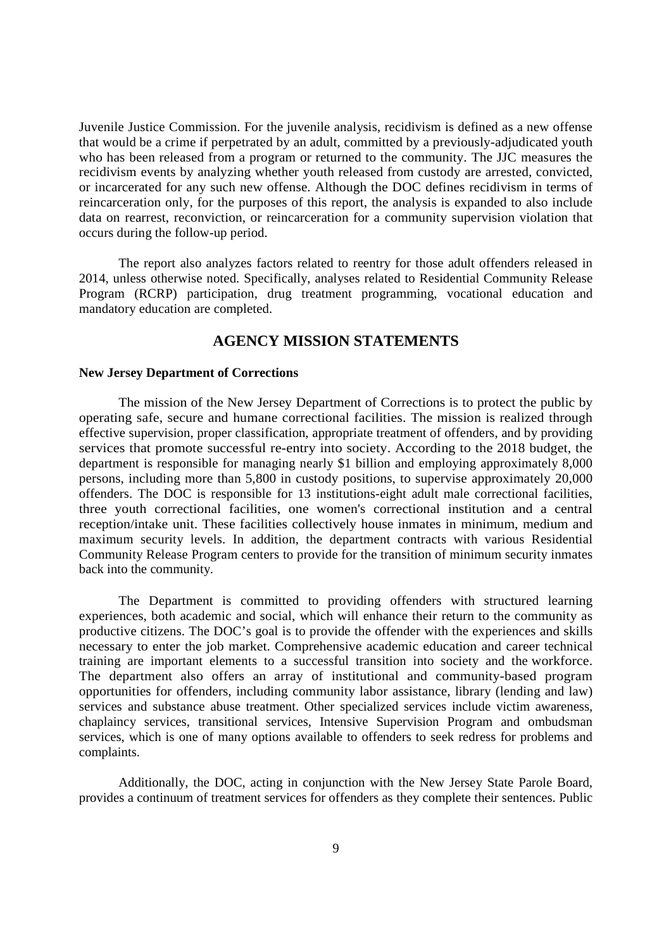Juvenile Justice Commission. For the juvenile analysis, recidivism is defined as a new offense that would be a crime if perpetrated by an adult, committed by a previously-adjudicated youth who has been released from a program or returned to the community. The JJC measures the recidivism events by analyzing whether youth released from custody are arrested, convicted, or incarcerated for any such new offense. Although the DOC defines recidivism in terms of reincarceration only, for the purposes of this report, the analysis is expanded to also include data on rearrest, reconviction, or reincarceration for a community supervision violation that occurs during the follow-up period.

The report also analyzes factors related to reentry for those adult offenders released in 2014, unless otherwise noted. Specifically, analyses related to Residential Community Release Program (RCRP) participation, drug treatment programming, vocational education and mandatory education are completed.

#### **AGENCY MISSION STATEMENTS**

#### **New Jersey Department of Corrections**

The mission of the New Jersey Department of Corrections is to protect the public by operating safe, secure and humane correctional facilities. The mission is realized through effective supervision, proper classification, appropriate treatment of offenders, and by providing services that promote successful re-entry into society. According to the 2018 budget, the department is responsible for managing nearly \$1 billion and employing approximately 8,000 persons, including more than 5,800 in custody positions, to supervise approximately 20,000 offenders. The DOC is responsible for 13 institutions-eight adult male correctional facilities, three youth correctional facilities, one women's correctional institution and a central reception/intake unit. These facilities collectively house inmates in minimum, medium and maximum security levels. In addition, the department contracts with various Residential Community Release Program centers to provide for the transition of minimum security inmates back into the community.

The Department is committed to providing offenders with structured learning experiences, both academic and social, which will enhance their return to the community as productive citizens. The DOC's goal is to provide the offender with the experiences and skills necessary to enter the job market. Comprehensive academic education and career technical training are important elements to a successful transition into society and the workforce. The department also offers an array of institutional and community-based program opportunities for offenders, including community labor assistance, library (lending and law) services and substance abuse treatment. Other specialized services include victim awareness, chaplaincy services, transitional services, Intensive Supervision Program and ombudsman services, which is one of many options available to offenders to seek redress for problems and complaints.

 Additionally, the DOC, acting in conjunction with the New Jersey State Parole Board, provides a continuum of treatment services for offenders as they complete their sentences. Public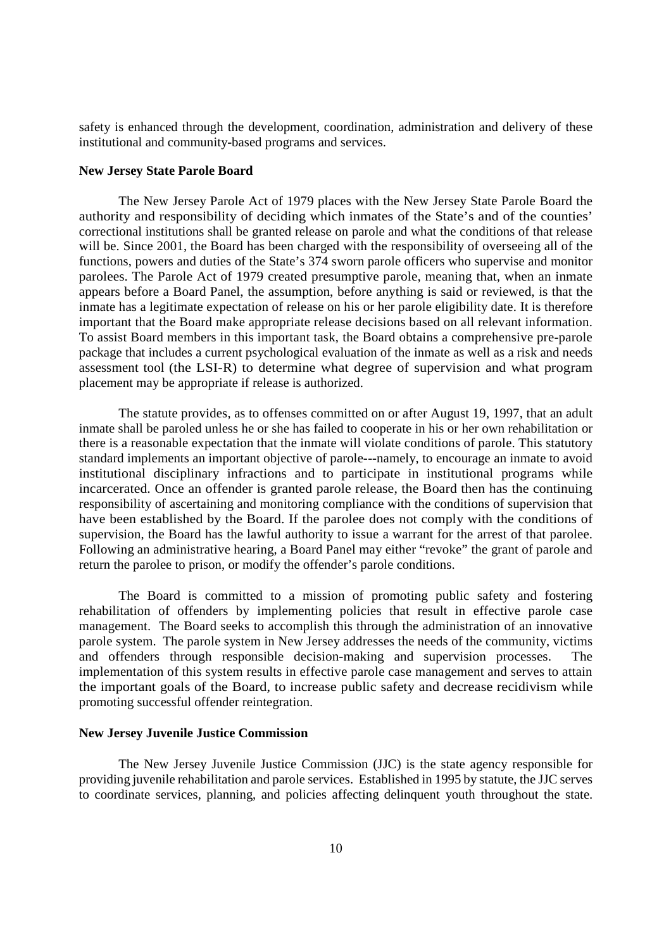safety is enhanced through the development, coordination, administration and delivery of these institutional and community-based programs and services.

#### **New Jersey State Parole Board**

The New Jersey Parole Act of 1979 places with the New Jersey State Parole Board the authority and responsibility of deciding which inmates of the State's and of the counties' correctional institutions shall be granted release on parole and what the conditions of that release will be. Since 2001, the Board has been charged with the responsibility of overseeing all of the functions, powers and duties of the State's 374 sworn parole officers who supervise and monitor parolees. The Parole Act of 1979 created presumptive parole, meaning that, when an inmate appears before a Board Panel, the assumption, before anything is said or reviewed, is that the inmate has a legitimate expectation of release on his or her parole eligibility date. It is therefore important that the Board make appropriate release decisions based on all relevant information. To assist Board members in this important task, the Board obtains a comprehensive pre-parole package that includes a current psychological evaluation of the inmate as well as a risk and needs assessment tool (the LSI-R) to determine what degree of supervision and what program placement may be appropriate if release is authorized.

The statute provides, as to offenses committed on or after August 19, 1997, that an adult inmate shall be paroled unless he or she has failed to cooperate in his or her own rehabilitation or there is a reasonable expectation that the inmate will violate conditions of parole. This statutory standard implements an important objective of parole---namely, to encourage an inmate to avoid institutional disciplinary infractions and to participate in institutional programs while incarcerated. Once an offender is granted parole release, the Board then has the continuing responsibility of ascertaining and monitoring compliance with the conditions of supervision that have been established by the Board. If the parolee does not comply with the conditions of supervision, the Board has the lawful authority to issue a warrant for the arrest of that parolee. Following an administrative hearing, a Board Panel may either "revoke" the grant of parole and return the parolee to prison, or modify the offender's parole conditions.

The Board is committed to a mission of promoting public safety and fostering rehabilitation of offenders by implementing policies that result in effective parole case management. The Board seeks to accomplish this through the administration of an innovative parole system. The parole system in New Jersey addresses the needs of the community, victims and offenders through responsible decision-making and supervision processes. The implementation of this system results in effective parole case management and serves to attain the important goals of the Board, to increase public safety and decrease recidivism while promoting successful offender reintegration.

#### **New Jersey Juvenile Justice Commission**

The New Jersey Juvenile Justice Commission (JJC) is the state agency responsible for providing juvenile rehabilitation and parole services. Established in 1995 by statute, the JJC serves to coordinate services, planning, and policies affecting delinquent youth throughout the state.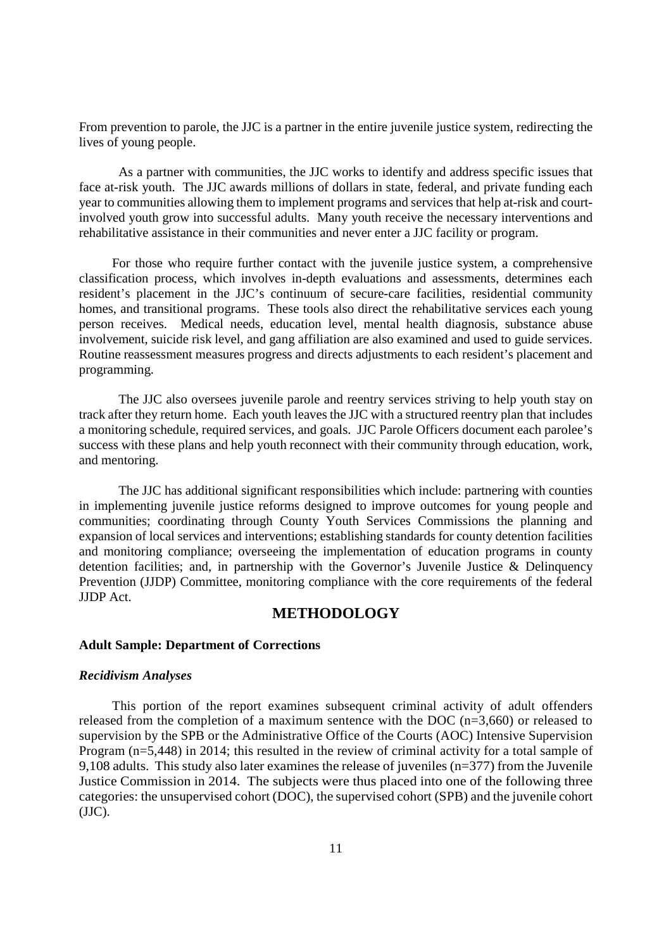From prevention to parole, the JJC is a partner in the entire juvenile justice system, redirecting the lives of young people.

 As a partner with communities, the JJC works to identify and address specific issues that face at-risk youth. The JJC awards millions of dollars in state, federal, and private funding each year to communities allowing them to implement programs and services that help at-risk and courtinvolved youth grow into successful adults. Many youth receive the necessary interventions and rehabilitative assistance in their communities and never enter a JJC facility or program.

 For those who require further contact with the juvenile justice system, a comprehensive classification process, which involves in-depth evaluations and assessments, determines each resident's placement in the JJC's continuum of secure-care facilities, residential community homes, and transitional programs. These tools also direct the rehabilitative services each young person receives. Medical needs, education level, mental health diagnosis, substance abuse involvement, suicide risk level, and gang affiliation are also examined and used to guide services. Routine reassessment measures progress and directs adjustments to each resident's placement and programming.

The JJC also oversees juvenile parole and reentry services striving to help youth stay on track after they return home. Each youth leaves the JJC with a structured reentry plan that includes a monitoring schedule, required services, and goals. JJC Parole Officers document each parolee's success with these plans and help youth reconnect with their community through education, work, and mentoring.

The JJC has additional significant responsibilities which include: partnering with counties in implementing juvenile justice reforms designed to improve outcomes for young people and communities; coordinating through County Youth Services Commissions the planning and expansion of local services and interventions; establishing standards for county detention facilities and monitoring compliance; overseeing the implementation of education programs in county detention facilities; and, in partnership with the Governor's Juvenile Justice & Delinquency Prevention (JJDP) Committee, monitoring compliance with the core requirements of the federal JJDP Act.

#### **METHODOLOGY**

#### **Adult Sample: Department of Corrections**

#### *Recidivism Analyses*

This portion of the report examines subsequent criminal activity of adult offenders released from the completion of a maximum sentence with the DOC (n=3,660) or released to supervision by the SPB or the Administrative Office of the Courts (AOC) Intensive Supervision Program (n=5,448) in 2014; this resulted in the review of criminal activity for a total sample of 9,108 adults. This study also later examines the release of juveniles (n=377) from the Juvenile Justice Commission in 2014. The subjects were thus placed into one of the following three categories: the unsupervised cohort (DOC), the supervised cohort (SPB) and the juvenile cohort (JJC).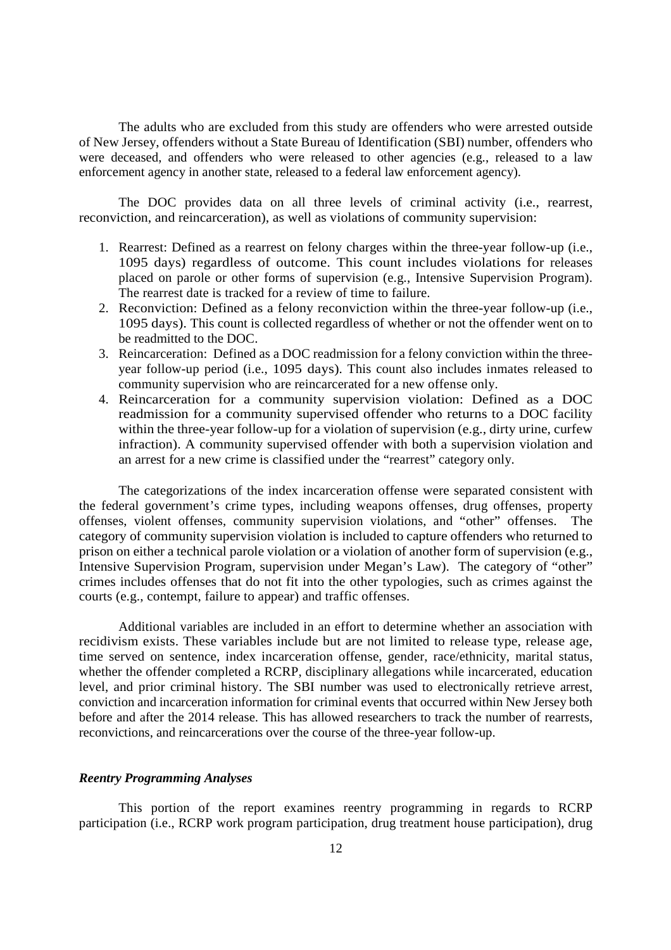The adults who are excluded from this study are offenders who were arrested outside of New Jersey, offenders without a State Bureau of Identification (SBI) number, offenders who were deceased, and offenders who were released to other agencies (e.g., released to a law enforcement agency in another state, released to a federal law enforcement agency).

The DOC provides data on all three levels of criminal activity (i.e., rearrest, reconviction, and reincarceration), as well as violations of community supervision:

- 1. Rearrest: Defined as a rearrest on felony charges within the three-year follow-up (i.e., 1095 days) regardless of outcome. This count includes violations for releases placed on parole or other forms of supervision (e.g., Intensive Supervision Program). The rearrest date is tracked for a review of time to failure.
- 2. Reconviction: Defined as a felony reconviction within the three-year follow-up (i.e., 1095 days). This count is collected regardless of whether or not the offender went on to be readmitted to the DOC.
- 3. Reincarceration: Defined as a DOC readmission for a felony conviction within the threeyear follow-up period (i.e., 1095 days). This count also includes inmates released to community supervision who are reincarcerated for a new offense only.
- 4. Reincarceration for a community supervision violation: Defined as a DOC readmission for a community supervised offender who returns to a DOC facility within the three-year follow-up for a violation of supervision (e.g., dirty urine, curfew infraction). A community supervised offender with both a supervision violation and an arrest for a new crime is classified under the "rearrest" category only.

The categorizations of the index incarceration offense were separated consistent with the federal government's crime types, including weapons offenses, drug offenses, property offenses, violent offenses, community supervision violations, and "other" offenses. The category of community supervision violation is included to capture offenders who returned to prison on either a technical parole violation or a violation of another form of supervision (e.g., Intensive Supervision Program, supervision under Megan's Law). The category of "other" crimes includes offenses that do not fit into the other typologies, such as crimes against the courts (e.g., contempt, failure to appear) and traffic offenses.

Additional variables are included in an effort to determine whether an association with recidivism exists. These variables include but are not limited to release type, release age, time served on sentence, index incarceration offense, gender, race/ethnicity, marital status, whether the offender completed a RCRP, disciplinary allegations while incarcerated, education level, and prior criminal history. The SBI number was used to electronically retrieve arrest, conviction and incarceration information for criminal events that occurred within New Jersey both before and after the 2014 release. This has allowed researchers to track the number of rearrests, reconvictions, and reincarcerations over the course of the three-year follow-up.

#### *Reentry Programming Analyses*

This portion of the report examines reentry programming in regards to RCRP participation (i.e., RCRP work program participation, drug treatment house participation), drug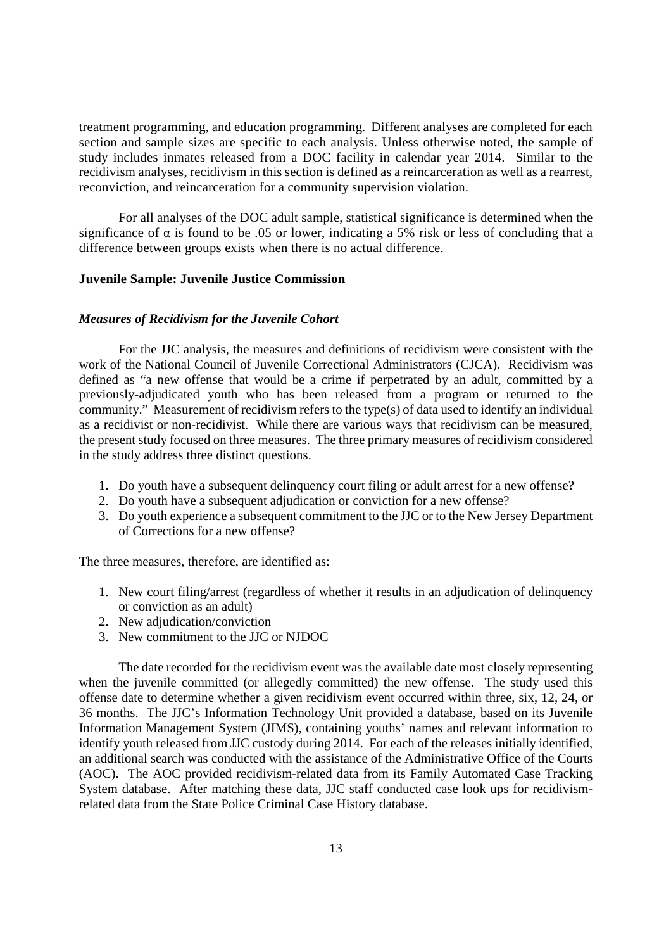treatment programming, and education programming. Different analyses are completed for each section and sample sizes are specific to each analysis. Unless otherwise noted, the sample of study includes inmates released from a DOC facility in calendar year 2014. Similar to the recidivism analyses, recidivism in this section is defined as a reincarceration as well as a rearrest, reconviction, and reincarceration for a community supervision violation.

For all analyses of the DOC adult sample, statistical significance is determined when the significance of  $\alpha$  is found to be .05 or lower, indicating a 5% risk or less of concluding that a difference between groups exists when there is no actual difference.

#### **Juvenile Sample: Juvenile Justice Commission**

#### *Measures of Recidivism for the Juvenile Cohort*

For the JJC analysis, the measures and definitions of recidivism were consistent with the work of the National Council of Juvenile Correctional Administrators (CJCA). Recidivism was defined as "a new offense that would be a crime if perpetrated by an adult, committed by a previously-adjudicated youth who has been released from a program or returned to the community." Measurement of recidivism refers to the type(s) of data used to identify an individual as a recidivist or non-recidivist. While there are various ways that recidivism can be measured, the present study focused on three measures. The three primary measures of recidivism considered in the study address three distinct questions.

- 1. Do youth have a subsequent delinquency court filing or adult arrest for a new offense?
- 2. Do youth have a subsequent adjudication or conviction for a new offense?
- 3. Do youth experience a subsequent commitment to the JJC or to the New Jersey Department of Corrections for a new offense?

The three measures, therefore, are identified as:

- 1. New court filing/arrest (regardless of whether it results in an adjudication of delinquency or conviction as an adult)
- 2. New adjudication/conviction
- 3. New commitment to the JJC or NJDOC

The date recorded for the recidivism event was the available date most closely representing when the juvenile committed (or allegedly committed) the new offense. The study used this offense date to determine whether a given recidivism event occurred within three, six, 12, 24, or 36 months. The JJC's Information Technology Unit provided a database, based on its Juvenile Information Management System (JIMS), containing youths' names and relevant information to identify youth released from JJC custody during 2014. For each of the releases initially identified, an additional search was conducted with the assistance of the Administrative Office of the Courts (AOC). The AOC provided recidivism-related data from its Family Automated Case Tracking System database. After matching these data, JJC staff conducted case look ups for recidivismrelated data from the State Police Criminal Case History database.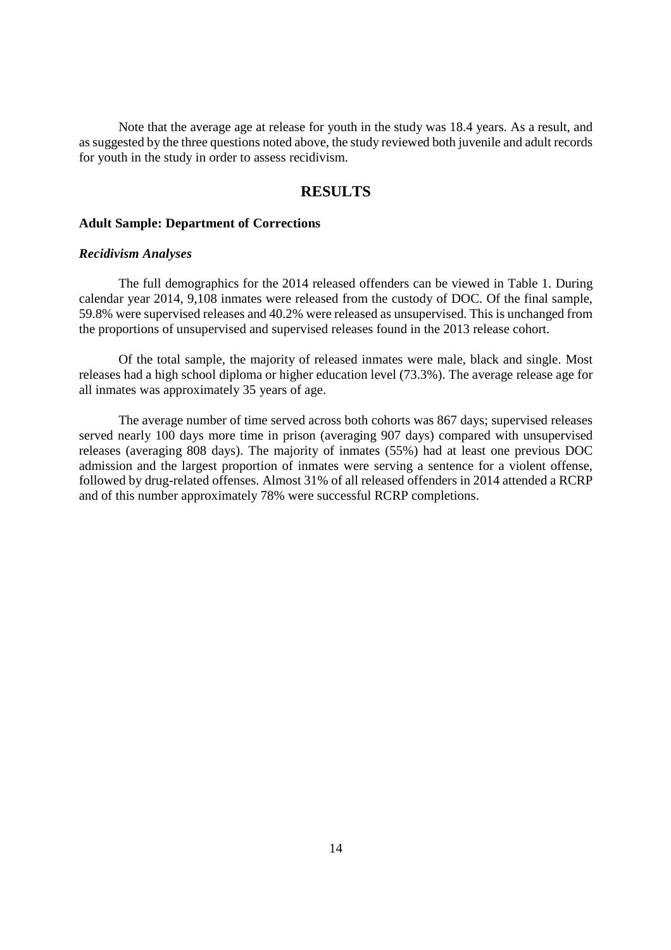Note that the average age at release for youth in the study was 18.4 years. As a result, and as suggested by the three questions noted above, the study reviewed both juvenile and adult records for youth in the study in order to assess recidivism.

#### **RESULTS**

#### **Adult Sample: Department of Corrections**

#### *Recidivism Analyses*

The full demographics for the 2014 released offenders can be viewed in Table 1. During calendar year 2014, 9,108 inmates were released from the custody of DOC. Of the final sample, 59.8% were supervised releases and 40.2% were released as unsupervised. This is unchanged from the proportions of unsupervised and supervised releases found in the 2013 release cohort.

Of the total sample, the majority of released inmates were male, black and single. Most releases had a high school diploma or higher education level (73.3%). The average release age for all inmates was approximately 35 years of age.

The average number of time served across both cohorts was 867 days; supervised releases served nearly 100 days more time in prison (averaging 907 days) compared with unsupervised releases (averaging 808 days). The majority of inmates (55%) had at least one previous DOC admission and the largest proportion of inmates were serving a sentence for a violent offense, followed by drug-related offenses. Almost 31% of all released offenders in 2014 attended a RCRP and of this number approximately 78% were successful RCRP completions.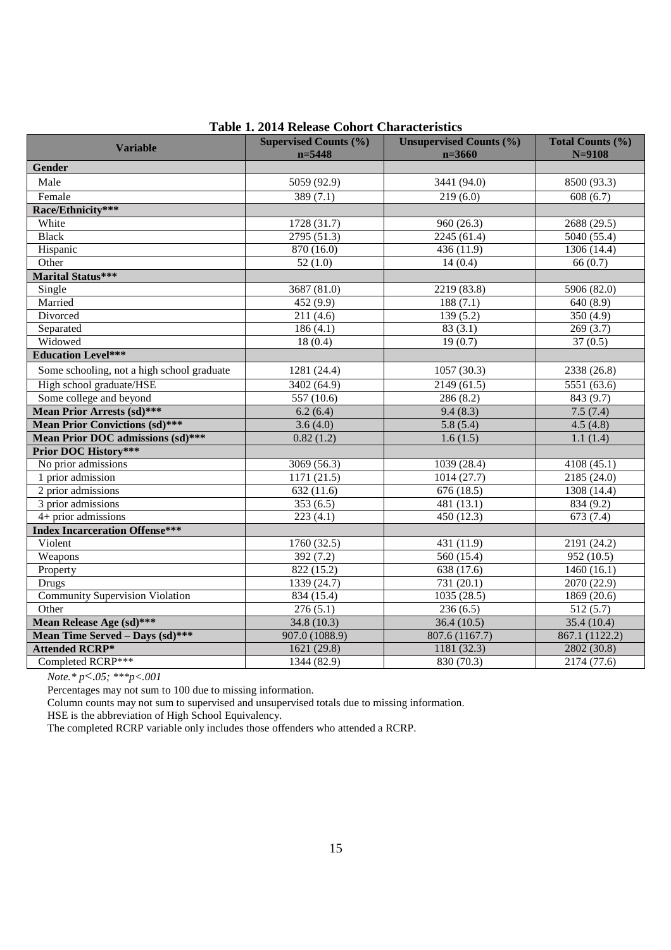| <b>Variable</b>                            | <b>Supervised Counts (%)</b><br>$n = 5448$ | <b>Unsupervised Counts (%)</b><br>$n = 3660$ | Total Counts (%)<br>$N = 9108$ |
|--------------------------------------------|--------------------------------------------|----------------------------------------------|--------------------------------|
| Gender                                     |                                            |                                              |                                |
| Male                                       | 5059 (92.9)                                | 3441 (94.0)                                  | 8500 (93.3)                    |
| Female                                     | 389(7.1)                                   | 219(6.0)                                     | 608(6.7)                       |
| Race/Ethnicity***                          |                                            |                                              |                                |
| White                                      | 1728(31.7)                                 | 960(26.3)                                    | 2688(29.5)                     |
| <b>Black</b>                               | 2795(51.3)                                 | 2245(61.4)                                   | 5040(55.4)                     |
| Hispanic                                   | 870 (16.0)                                 | 436 (11.9)                                   | 1306 (14.4)                    |
| Other                                      | 52(1.0)                                    | 14(0.4)                                      | 66 (0.7)                       |
| <b>Marital Status***</b>                   |                                            |                                              |                                |
| Single                                     | 3687(81.0)                                 | 2219(83.8)                                   | 5906(82.0)                     |
| Married                                    | 452(9.9)                                   | 188(7.1)                                     | 640(8.9)                       |
| Divorced                                   | 211(4.6)                                   | 139(5.2)                                     | 350 (4.9)                      |
| Separated                                  | 186(4.1)                                   | 83(3.1)                                      | 269(3.7)                       |
| Widowed                                    | 18(0.4)                                    | 19(0.7)                                      | 37(0.5)                        |
| <b>Education Level***</b>                  |                                            |                                              |                                |
| Some schooling, not a high school graduate | 1281 (24.4)                                | 1057(30.3)                                   | 2338 (26.8)                    |
| High school graduate/HSE                   | 3402(64.9)                                 | 2149(61.5)                                   | 5551(63.6)                     |
| Some college and beyond                    | 557(10.6)                                  | 286(8.2)                                     | 843(9.7)                       |
| <b>Mean Prior Arrests (sd)***</b>          | 6.2(6.4)                                   | 9.4(8.3)                                     | 7.5(7.4)                       |
| <b>Mean Prior Convictions (sd)***</b>      | 3.6(4.0)                                   | 5.8(5.4)                                     | 4.5(4.8)                       |
| <b>Mean Prior DOC admissions (sd)***</b>   | $\overline{0.82(1.2)}$                     | 1.6(1.5)                                     | 1.1(1.4)                       |
| <b>Prior DOC History***</b>                |                                            |                                              |                                |
| No prior admissions                        | 3069 (56.3)                                | 1039 (28.4)                                  | 4108 (45.1)                    |
| 1 prior admission                          | 1171(21.5)                                 | 1014(27.7)                                   | 2185(24.0)                     |
| 2 prior admissions                         | 632(11.6)                                  | 676(18.5)                                    | 1308(14.4)                     |
| 3 prior admissions                         | 353(6.5)                                   | 481 (13.1)                                   | 834 (9.2)                      |
| $4+$ prior admissions                      | 223(4.1)                                   | 450(12.3)                                    | 673(7.4)                       |
| <b>Index Incarceration Offense***</b>      |                                            |                                              |                                |
| Violent                                    | 1760 (32.5)                                | 431 (11.9)                                   | 2191 (24.2)                    |
| Weapons                                    | 392(7.2)                                   | 560(15.4)                                    | 952(10.5)                      |
| Property                                   | 822(15.2)                                  | 638(17.6)                                    | 1460(16.1)                     |
| <b>Drugs</b>                               | 1339 (24.7)                                | 731 (20.1)                                   | 2070 (22.9)                    |
| <b>Community Supervision Violation</b>     | 834 (15.4)                                 | 1035(28.5)                                   | 1869 (20.6)                    |
| Other                                      | 276(5.1)                                   | 236(6.5)                                     | 512(5.7)                       |
| Mean Release Age (sd)***                   | 34.8 (10.3)                                | 36.4(10.5)                                   | 35.4 (10.4)                    |
| Mean Time Served - Days (sd)***            | 907.0 (1088.9)                             | 807.6 (1167.7)                               | 867.1 (1122.2)                 |
| <b>Attended RCRP*</b>                      | 1621(29.8)                                 | 1181(32.3)                                   | 2802 (30.8)                    |
| Completed RCRP***                          | 1344 (82.9)                                | 830 (70.3)                                   | 2174 (77.6)                    |

#### **Table 1. 2014 Release Cohort Characteristics**

*Note.\* p*<.*05; \*\*\*p<.001*

Percentages may not sum to 100 due to missing information.

Column counts may not sum to supervised and unsupervised totals due to missing information.

HSE is the abbreviation of High School Equivalency.

The completed RCRP variable only includes those offenders who attended a RCRP.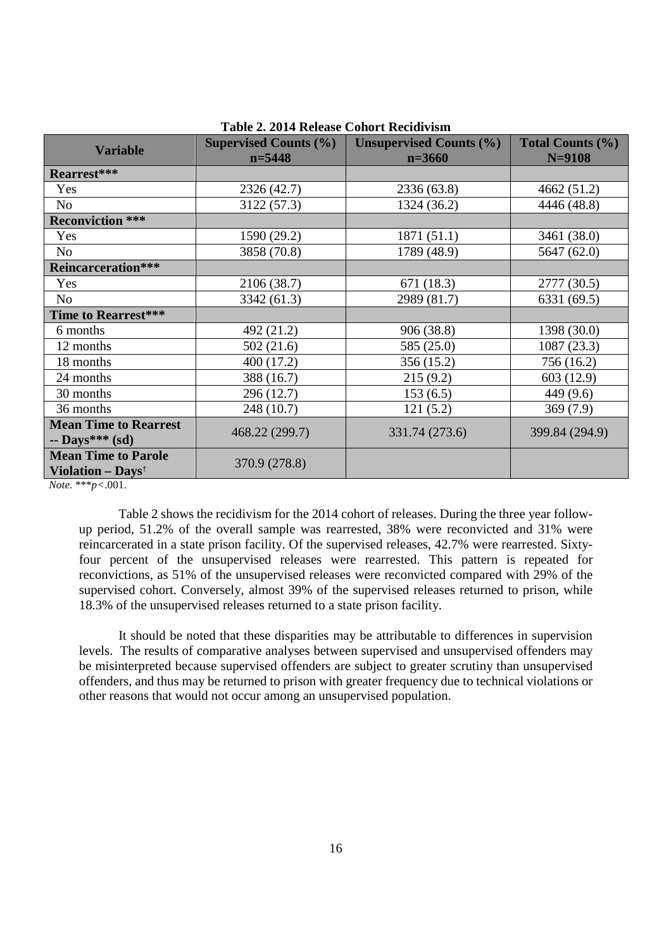| <b>Variable</b>               | <b>Supervised Counts (%)</b> | <b>Unsupervised Counts (%)</b> | Total Counts (%) |
|-------------------------------|------------------------------|--------------------------------|------------------|
|                               | $n = 5448$                   | $n=3660$                       | $N = 9108$       |
| Rearrest***                   |                              |                                |                  |
| Yes                           | 2326 (42.7)                  | 2336 (63.8)                    | 4662 (51.2)      |
| N <sub>o</sub>                | 3122 (57.3)                  | 1324 (36.2)                    | 4446 (48.8)      |
| <b>Reconviction ***</b>       |                              |                                |                  |
| Yes                           | 1590 (29.2)                  | 1871(51.1)                     | 3461 (38.0)      |
| N <sub>o</sub>                | 3858 (70.8)                  | 1789 (48.9)                    | 5647 (62.0)      |
| <b>Reincarceration***</b>     |                              |                                |                  |
| Yes                           | 2106 (38.7)                  | 671(18.3)                      | 2777 (30.5)      |
| N <sub>o</sub>                | 3342 (61.3)                  | 2989 (81.7)                    | 6331 (69.5)      |
| Time to Rearrest***           |                              |                                |                  |
| 6 months                      | 492 (21.2)                   | 906 (38.8)                     | 1398 (30.0)      |
| 12 months                     | 502(21.6)                    | 585 (25.0)                     | 1087(23.3)       |
| 18 months                     | 400 (17.2)                   | 356 (15.2)                     | 756 (16.2)       |
| 24 months                     | 388 (16.7)                   | 215(9.2)                       | 603 (12.9)       |
| 30 months                     | 296 (12.7)                   | 153(6.5)                       | 449 (9.6)        |
| 36 months                     | 248 (10.7)                   | 121(5.2)                       | 369(7.9)         |
| <b>Mean Time to Rearrest</b>  | 468.22 (299.7)               | 331.74 (273.6)                 | 399.84 (294.9)   |
| $-$ Days*** (sd)              |                              |                                |                  |
| <b>Mean Time to Parole</b>    | 370.9 (278.8)                |                                |                  |
| Violation - Days <sup>t</sup> |                              |                                |                  |

#### **Table 2. 2014 Release Cohort Recidivism**

*Note.* \*\*\**p<*.001.

Table 2 shows the recidivism for the 2014 cohort of releases. During the three year followup period, 51.2% of the overall sample was rearrested, 38% were reconvicted and 31% were reincarcerated in a state prison facility. Of the supervised releases, 42.7% were rearrested. Sixtyfour percent of the unsupervised releases were rearrested. This pattern is repeated for reconvictions, as 51% of the unsupervised releases were reconvicted compared with 29% of the supervised cohort. Conversely, almost 39% of the supervised releases returned to prison, while 18.3% of the unsupervised releases returned to a state prison facility.

It should be noted that these disparities may be attributable to differences in supervision levels. The results of comparative analyses between supervised and unsupervised offenders may be misinterpreted because supervised offenders are subject to greater scrutiny than unsupervised offenders, and thus may be returned to prison with greater frequency due to technical violations or other reasons that would not occur among an unsupervised population.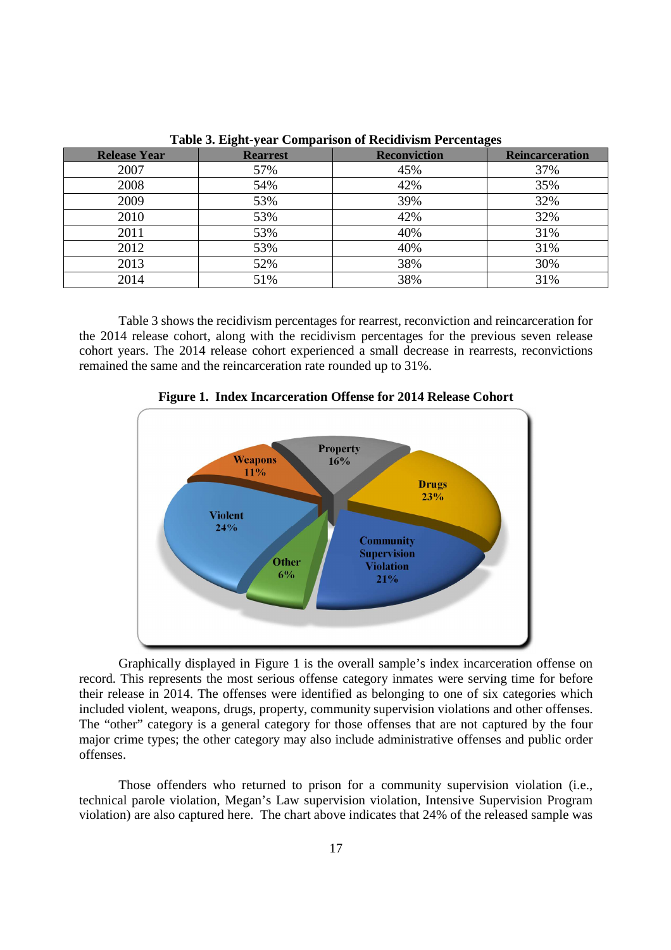| <b>Release Year</b> | <b>Rearrest</b> | <b>Reconviction</b> | ັ<br><b>Reincarceration</b> |
|---------------------|-----------------|---------------------|-----------------------------|
| 2007                | 57%             | 45%                 | 37%                         |
| 2008                | 54%             | 42%                 | 35%                         |
| 2009                | 53%             | 39%                 | 32%                         |
| 2010                | 53%             | 42%                 | 32%                         |
| 2011                | 53%             | 40%                 | 31%                         |
| 2012                | 53%             | 40%                 | 31%                         |
| 2013                | 52%             | 38%                 | 30%                         |
| 2014                | 51%             | 38%                 | 31%                         |

**Table 3. Eight-year Comparison of Recidivism Percentages** 

Table 3 shows the recidivism percentages for rearrest, reconviction and reincarceration for the 2014 release cohort, along with the recidivism percentages for the previous seven release cohort years. The 2014 release cohort experienced a small decrease in rearrests, reconvictions remained the same and the reincarceration rate rounded up to 31%.



**Figure 1. Index Incarceration Offense for 2014 Release Cohort** 

Graphically displayed in Figure 1 is the overall sample's index incarceration offense on record. This represents the most serious offense category inmates were serving time for before their release in 2014. The offenses were identified as belonging to one of six categories which included violent, weapons, drugs, property, community supervision violations and other offenses. The "other" category is a general category for those offenses that are not captured by the four major crime types; the other category may also include administrative offenses and public order offenses.

Those offenders who returned to prison for a community supervision violation (i.e., technical parole violation, Megan's Law supervision violation, Intensive Supervision Program violation) are also captured here. The chart above indicates that 24% of the released sample was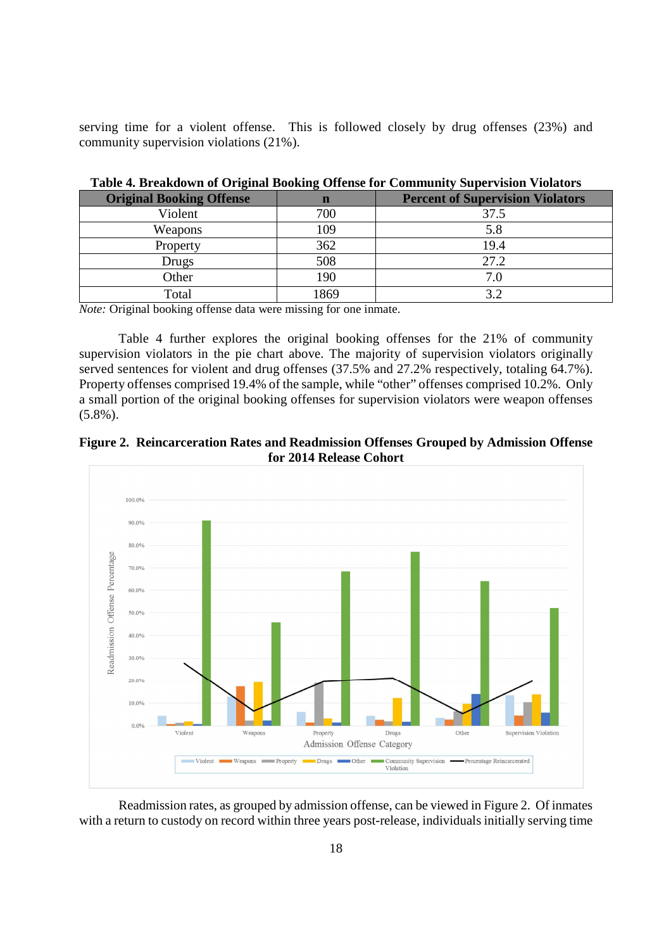serving time for a violent offense. This is followed closely by drug offenses (23%) and community supervision violations (21%).

|                                 | $\overline{ }$ |                                         |
|---------------------------------|----------------|-----------------------------------------|
| <b>Original Booking Offense</b> | n              | <b>Percent of Supervision Violators</b> |
| Violent                         | 700            | 37.5                                    |
| Weapons                         | 109            | 5.8                                     |
| Property                        | 362            | 19.4                                    |
| Drugs                           | 508            | 27.2                                    |
| Other                           | 190            | 7.0                                     |
| Total                           | 1869           | 3.2                                     |

**Table 4. Breakdown of Original Booking Offense for Community Supervision Violators** 

*Note:* Original booking offense data were missing for one inmate.

Table 4 further explores the original booking offenses for the 21% of community supervision violators in the pie chart above. The majority of supervision violators originally served sentences for violent and drug offenses (37.5% and 27.2% respectively, totaling 64.7%). Property offenses comprised 19.4% of the sample, while "other" offenses comprised 10.2%. Only a small portion of the original booking offenses for supervision violators were weapon offenses (5.8%).





Readmission rates, as grouped by admission offense, can be viewed in Figure 2. Of inmates with a return to custody on record within three years post-release, individuals initially serving time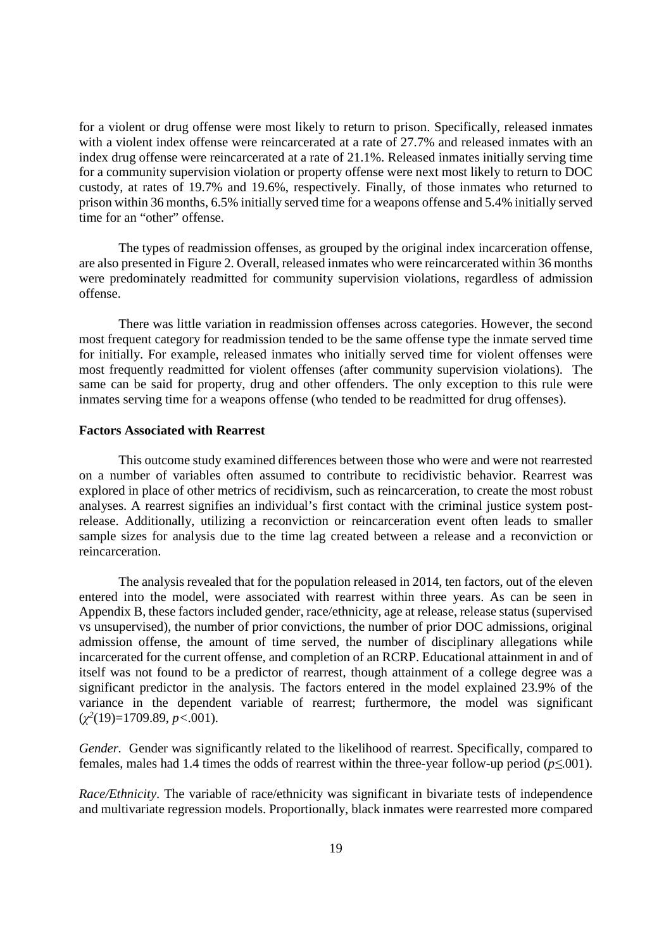for a violent or drug offense were most likely to return to prison. Specifically, released inmates with a violent index offense were reincarcerated at a rate of 27.7% and released inmates with an index drug offense were reincarcerated at a rate of 21.1%. Released inmates initially serving time for a community supervision violation or property offense were next most likely to return to DOC custody, at rates of 19.7% and 19.6%, respectively. Finally, of those inmates who returned to prison within 36 months, 6.5% initially served time for a weapons offense and 5.4% initially served time for an "other" offense.

The types of readmission offenses, as grouped by the original index incarceration offense, are also presented in Figure 2. Overall, released inmates who were reincarcerated within 36 months were predominately readmitted for community supervision violations, regardless of admission offense.

There was little variation in readmission offenses across categories. However, the second most frequent category for readmission tended to be the same offense type the inmate served time for initially. For example, released inmates who initially served time for violent offenses were most frequently readmitted for violent offenses (after community supervision violations). The same can be said for property, drug and other offenders. The only exception to this rule were inmates serving time for a weapons offense (who tended to be readmitted for drug offenses).

#### **Factors Associated with Rearrest**

This outcome study examined differences between those who were and were not rearrested on a number of variables often assumed to contribute to recidivistic behavior. Rearrest was explored in place of other metrics of recidivism, such as reincarceration, to create the most robust analyses. A rearrest signifies an individual's first contact with the criminal justice system postrelease. Additionally, utilizing a reconviction or reincarceration event often leads to smaller sample sizes for analysis due to the time lag created between a release and a reconviction or reincarceration.

The analysis revealed that for the population released in 2014, ten factors, out of the eleven entered into the model, were associated with rearrest within three years. As can be seen in Appendix B, these factors included gender, race/ethnicity, age at release, release status (supervised vs unsupervised), the number of prior convictions, the number of prior DOC admissions, original admission offense, the amount of time served, the number of disciplinary allegations while incarcerated for the current offense, and completion of an RCRP. Educational attainment in and of itself was not found to be a predictor of rearrest, though attainment of a college degree was a significant predictor in the analysis. The factors entered in the model explained 23.9% of the variance in the dependent variable of rearrest; furthermore, the model was significant (*χ 2* (19)=1709.89, *p<*.001).

*Gender.* Gender was significantly related to the likelihood of rearrest. Specifically, compared to females, males had 1.4 times the odds of rearrest within the three-year follow-up period (*p≤*.001).

*Race/Ethnicity*. The variable of race/ethnicity was significant in bivariate tests of independence and multivariate regression models. Proportionally, black inmates were rearrested more compared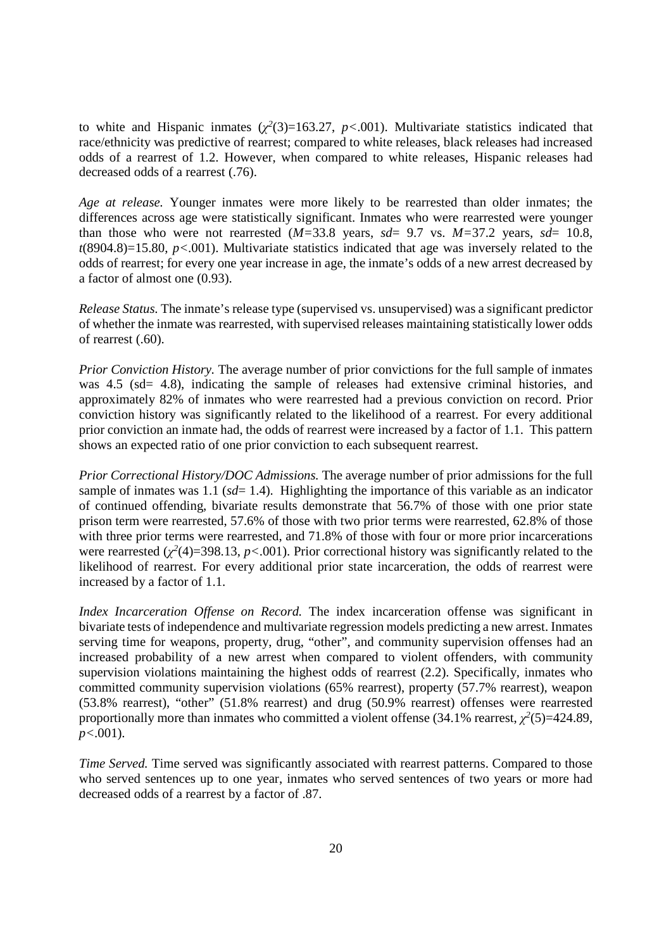to white and Hispanic inmates  $(\chi^2(3)=163.27, p<.001)$ . Multivariate statistics indicated that race/ethnicity was predictive of rearrest; compared to white releases, black releases had increased odds of a rearrest of 1.2. However, when compared to white releases, Hispanic releases had decreased odds of a rearrest (.76).

*Age at release.* Younger inmates were more likely to be rearrested than older inmates; the differences across age were statistically significant. Inmates who were rearrested were younger than those who were not rearrested  $(M=33.8 \text{ years}, sd=9.7 \text{ vs. } M=37.2 \text{ years}, sd=10.8,$ *t*(8904.8)=15.80, *p<*.001). Multivariate statistics indicated that age was inversely related to the odds of rearrest; for every one year increase in age, the inmate's odds of a new arrest decreased by a factor of almost one (0.93).

*Release Status.* The inmate's release type (supervised vs. unsupervised) was a significant predictor of whether the inmate was rearrested, with supervised releases maintaining statistically lower odds of rearrest (.60).

*Prior Conviction History.* The average number of prior convictions for the full sample of inmates was 4.5 (sd= 4.8), indicating the sample of releases had extensive criminal histories, and approximately 82% of inmates who were rearrested had a previous conviction on record. Prior conviction history was significantly related to the likelihood of a rearrest. For every additional prior conviction an inmate had, the odds of rearrest were increased by a factor of 1.1. This pattern shows an expected ratio of one prior conviction to each subsequent rearrest.

*Prior Correctional History/DOC Admissions.* The average number of prior admissions for the full sample of inmates was 1.1 (*sd*= 1.4). Highlighting the importance of this variable as an indicator of continued offending, bivariate results demonstrate that 56.7% of those with one prior state prison term were rearrested, 57.6% of those with two prior terms were rearrested, 62.8% of those with three prior terms were rearrested, and 71.8% of those with four or more prior incarcerations were rearrested  $(\chi^2(4)=398.13, p<.001)$ . Prior correctional history was significantly related to the likelihood of rearrest. For every additional prior state incarceration, the odds of rearrest were increased by a factor of 1.1.

*Index Incarceration Offense on Record.* The index incarceration offense was significant in bivariate tests of independence and multivariate regression models predicting a new arrest. Inmates serving time for weapons, property, drug, "other", and community supervision offenses had an increased probability of a new arrest when compared to violent offenders, with community supervision violations maintaining the highest odds of rearrest (2.2). Specifically, inmates who committed community supervision violations (65% rearrest), property (57.7% rearrest), weapon (53.8% rearrest), "other" (51.8% rearrest) and drug (50.9% rearrest) offenses were rearrested proportionally more than inmates who committed a violent offense (34.1% rearrest,  $\chi^2(5)=424.89$ , *p<*.001).

*Time Served.* Time served was significantly associated with rearrest patterns. Compared to those who served sentences up to one year, inmates who served sentences of two years or more had decreased odds of a rearrest by a factor of .87.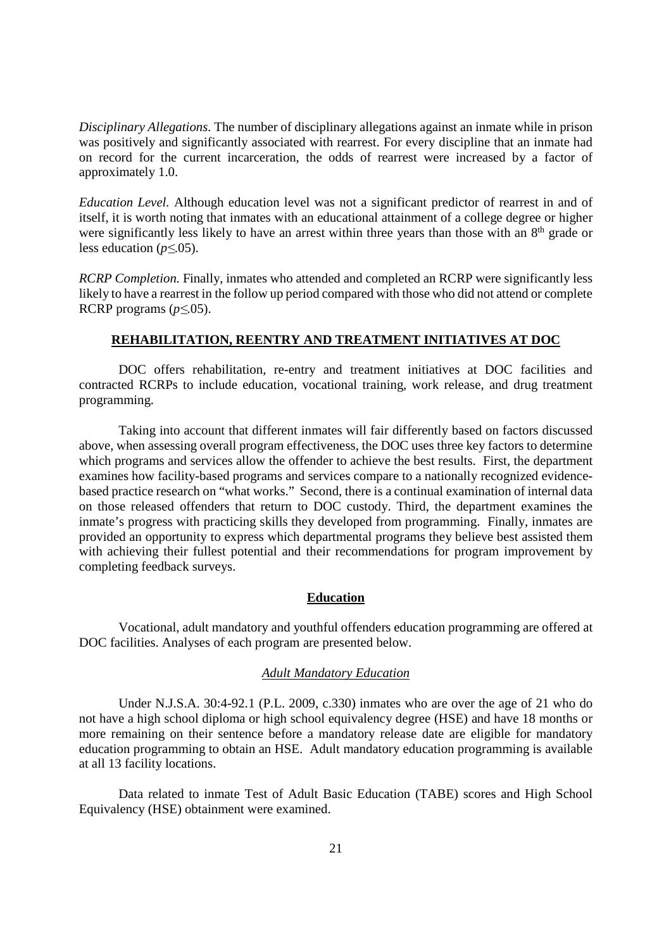*Disciplinary Allegations.* The number of disciplinary allegations against an inmate while in prison was positively and significantly associated with rearrest. For every discipline that an inmate had on record for the current incarceration, the odds of rearrest were increased by a factor of approximately 1.0.

*Education Level.* Although education level was not a significant predictor of rearrest in and of itself, it is worth noting that inmates with an educational attainment of a college degree or higher were significantly less likely to have an arrest within three years than those with an 8<sup>th</sup> grade or less education (*p≤*.05).

*RCRP Completion.* Finally, inmates who attended and completed an RCRP were significantly less likely to have a rearrest in the follow up period compared with those who did not attend or complete RCRP programs (*p≤*.05).

#### **REHABILITATION, REENTRY AND TREATMENT INITIATIVES AT DOC**

DOC offers rehabilitation, re-entry and treatment initiatives at DOC facilities and contracted RCRPs to include education, vocational training, work release, and drug treatment programming.

Taking into account that different inmates will fair differently based on factors discussed above, when assessing overall program effectiveness, the DOC uses three key factors to determine which programs and services allow the offender to achieve the best results. First, the department examines how facility-based programs and services compare to a nationally recognized evidencebased practice research on "what works." Second, there is a continual examination of internal data on those released offenders that return to DOC custody. Third, the department examines the inmate's progress with practicing skills they developed from programming. Finally, inmates are provided an opportunity to express which departmental programs they believe best assisted them with achieving their fullest potential and their recommendations for program improvement by completing feedback surveys.

#### **Education**

Vocational, adult mandatory and youthful offenders education programming are offered at DOC facilities. Analyses of each program are presented below.

#### *Adult Mandatory Education*

Under N.J.S.A. 30:4-92.1 (P.L. 2009, c.330) inmates who are over the age of 21 who do not have a high school diploma or high school equivalency degree (HSE) and have 18 months or more remaining on their sentence before a mandatory release date are eligible for mandatory education programming to obtain an HSE. Adult mandatory education programming is available at all 13 facility locations.

Data related to inmate Test of Adult Basic Education (TABE) scores and High School Equivalency (HSE) obtainment were examined.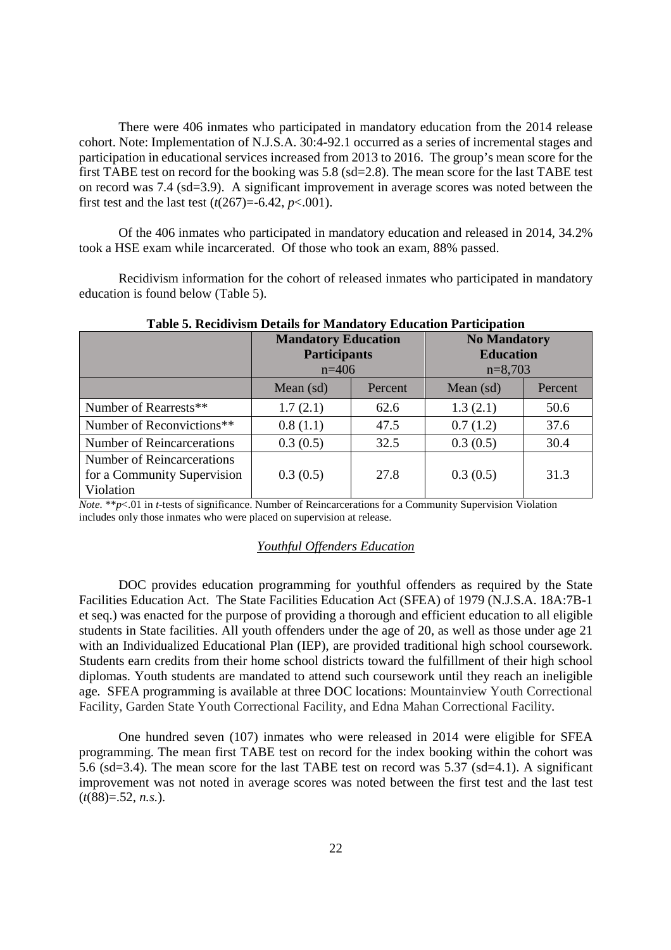There were 406 inmates who participated in mandatory education from the 2014 release cohort. Note: Implementation of N.J.S.A. 30:4-92.1 occurred as a series of incremental stages and participation in educational services increased from 2013 to 2016. The group's mean score for the first TABE test on record for the booking was 5.8 (sd=2.8). The mean score for the last TABE test on record was 7.4 (sd=3.9). A significant improvement in average scores was noted between the first test and the last test  $(t(267)=-6.42, p<.001)$ .

Of the 406 inmates who participated in mandatory education and released in 2014, 34.2% took a HSE exam while incarcerated. Of those who took an exam, 88% passed.

Recidivism information for the cohort of released inmates who participated in mandatory education is found below (Table 5).

| Table of Keepitrishi Details for triangatory Equeation I articipation  |                            |         |                     |         |
|------------------------------------------------------------------------|----------------------------|---------|---------------------|---------|
|                                                                        | <b>Mandatory Education</b> |         | <b>No Mandatory</b> |         |
|                                                                        | <b>Participants</b>        |         | <b>Education</b>    |         |
|                                                                        | $n=406$                    |         | $n=8,703$           |         |
|                                                                        | Mean $(sd)$                | Percent | Mean (sd)           | Percent |
| Number of Rearrests**                                                  | 1.7(2.1)                   | 62.6    | 1.3(2.1)            | 50.6    |
| Number of Reconvictions**                                              | 0.8(1.1)                   | 47.5    | 0.7(1.2)            | 37.6    |
| <b>Number of Reincarcerations</b>                                      | 0.3(0.5)                   | 32.5    | 0.3(0.5)            | 30.4    |
| Number of Reincarcerations<br>for a Community Supervision<br>Violation | 0.3(0.5)                   | 27.8    | 0.3(0.5)            | 31.3    |

#### **Table 5. Recidivism Details for Mandatory Education Participation**

*Note.* \*\**p*<.01 in *t*-tests of significance. Number of Reincarcerations for a Community Supervision Violation includes only those inmates who were placed on supervision at release.

#### *Youthful Offenders Education*

DOC provides education programming for youthful offenders as required by the State Facilities Education Act. The State Facilities Education Act (SFEA) of 1979 (N.J.S.A. 18A:7B-1 et seq.) was enacted for the purpose of providing a thorough and efficient education to all eligible students in State facilities. All youth offenders under the age of 20, as well as those under age 21 with an Individualized Educational Plan (IEP), are provided traditional high school coursework. Students earn credits from their home school districts toward the fulfillment of their high school diplomas. Youth students are mandated to attend such coursework until they reach an ineligible age. SFEA programming is available at three DOC locations: Mountainview Youth Correctional Facility, Garden State Youth Correctional Facility, and Edna Mahan Correctional Facility.

One hundred seven (107) inmates who were released in 2014 were eligible for SFEA programming. The mean first TABE test on record for the index booking within the cohort was 5.6 (sd=3.4). The mean score for the last TABE test on record was 5.37 (sd=4.1). A significant improvement was not noted in average scores was noted between the first test and the last test (*t*(88)=.52, *n.s.*).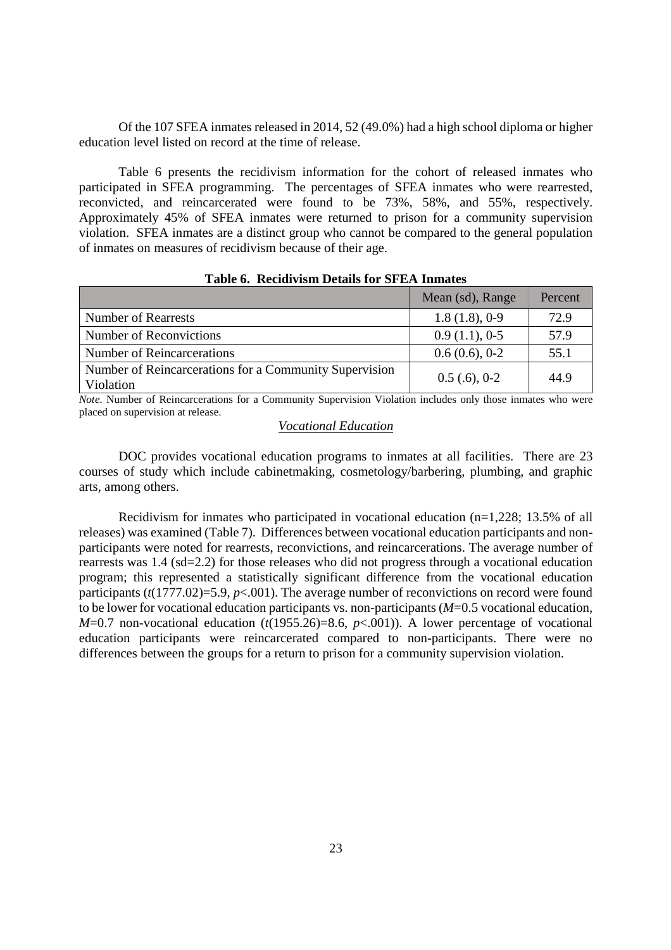Of the 107 SFEA inmates released in 2014, 52 (49.0%) had a high school diploma or higher education level listed on record at the time of release.

Table 6 presents the recidivism information for the cohort of released inmates who participated in SFEA programming. The percentages of SFEA inmates who were rearrested, reconvicted, and reincarcerated were found to be 73%, 58%, and 55%, respectively. Approximately 45% of SFEA inmates were returned to prison for a community supervision violation. SFEA inmates are a distinct group who cannot be compared to the general population of inmates on measures of recidivism because of their age.

|                                                                     | Mean (sd), Range | Percent |
|---------------------------------------------------------------------|------------------|---------|
| <b>Number of Rearrests</b>                                          | 1.8(1.8), 0.9    | 72.9    |
| Number of Reconvictions                                             | 0.9(1.1), 0.5    | 57.9    |
| Number of Reincarcerations                                          | 0.6(0.6), 0.2    | 55.1    |
| Number of Reincarcerations for a Community Supervision<br>Violation | $0.5$ (.6), 0-2  | 44.9    |

**Table 6. Recidivism Details for SFEA Inmates** 

*Note.* Number of Reincarcerations for a Community Supervision Violation includes only those inmates who were placed on supervision at release.

#### *Vocational Education*

 DOC provides vocational education programs to inmates at all facilities. There are 23 courses of study which include cabinetmaking, cosmetology/barbering, plumbing, and graphic arts, among others.

Recidivism for inmates who participated in vocational education (n=1,228; 13.5% of all releases) was examined (Table 7). Differences between vocational education participants and nonparticipants were noted for rearrests, reconvictions, and reincarcerations. The average number of rearrests was 1.4 (sd=2.2) for those releases who did not progress through a vocational education program; this represented a statistically significant difference from the vocational education participants (*t*(1777.02)=5.9, *p*<.001). The average number of reconvictions on record were found to be lower for vocational education participants vs. non-participants (*M*=0.5 vocational education, *M*=0.7 non-vocational education (*t*(1955.26)=8.6, *p*<.001)). A lower percentage of vocational education participants were reincarcerated compared to non-participants. There were no differences between the groups for a return to prison for a community supervision violation.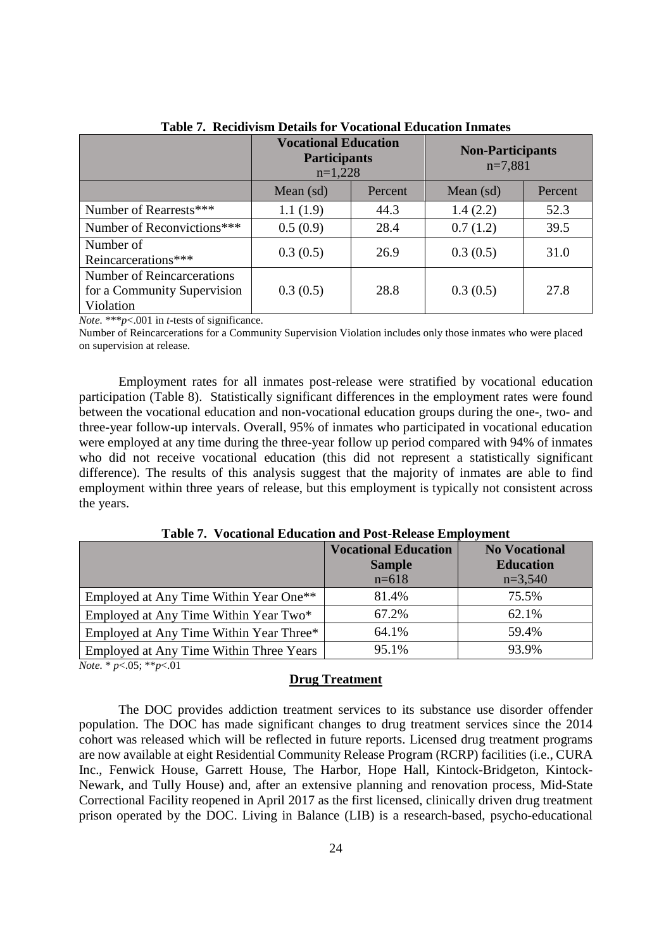|                                                                        | <b>Vocational Education</b><br><b>Participants</b><br>$n=1,228$ |         | <b>Non-Participants</b><br>$n=7,881$ |         |
|------------------------------------------------------------------------|-----------------------------------------------------------------|---------|--------------------------------------|---------|
|                                                                        | Mean $(sd)$                                                     | Percent | Mean $(sd)$                          | Percent |
| Number of Rearrests***                                                 | 1.1(1.9)                                                        | 44.3    | 1.4(2.2)                             | 52.3    |
| Number of Reconvictions***                                             | 0.5(0.9)                                                        | 28.4    | 0.7(1.2)                             | 39.5    |
| Number of<br>Reincarcerations***                                       | 0.3(0.5)                                                        | 26.9    | 0.3(0.5)                             | 31.0    |
| Number of Reincarcerations<br>for a Community Supervision<br>Violation | 0.3(0.5)                                                        | 28.8    | 0.3(0.5)                             | 27.8    |

**Table 7. Recidivism Details for Vocational Education Inmates** 

*Note.* \*\*\**p*<.001 in *t-*tests of significance.

Number of Reincarcerations for a Community Supervision Violation includes only those inmates who were placed on supervision at release.

Employment rates for all inmates post-release were stratified by vocational education participation (Table 8). Statistically significant differences in the employment rates were found between the vocational education and non-vocational education groups during the one-, two- and three-year follow-up intervals. Overall, 95% of inmates who participated in vocational education were employed at any time during the three-year follow up period compared with 94% of inmates who did not receive vocational education (this did not represent a statistically significant difference). The results of this analysis suggest that the majority of inmates are able to find employment within three years of release, but this employment is typically not consistent across the years.

|                                                    | <b>Vocational Education</b> | <b>No Vocational</b> |
|----------------------------------------------------|-----------------------------|----------------------|
|                                                    | <b>Sample</b>               | <b>Education</b>     |
|                                                    | $n=618$                     | $n=3,540$            |
| Employed at Any Time Within Year One <sup>**</sup> | 81.4%                       | 75.5%                |
| Employed at Any Time Within Year Two*              | 67.2%                       | 62.1%                |
| Employed at Any Time Within Year Three*            | 64.1%                       | 59.4%                |
| Employed at Any Time Within Three Years            | 95.1%                       | 93.9%                |

**Table 7. Vocational Education and Post-Release Employment** 

*Note.* \* *p*<.05; \*\**p*<.01

#### **Drug Treatment**

The DOC provides addiction treatment services to its substance use disorder offender population. The DOC has made significant changes to drug treatment services since the 2014 cohort was released which will be reflected in future reports. Licensed drug treatment programs are now available at eight Residential Community Release Program (RCRP) facilities (i.e., CURA Inc., Fenwick House, Garrett House, The Harbor, Hope Hall, Kintock-Bridgeton, Kintock-Newark, and Tully House) and, after an extensive planning and renovation process, Mid-State Correctional Facility reopened in April 2017 as the first licensed, clinically driven drug treatment prison operated by the DOC. Living in Balance (LIB) is a research-based, psycho-educational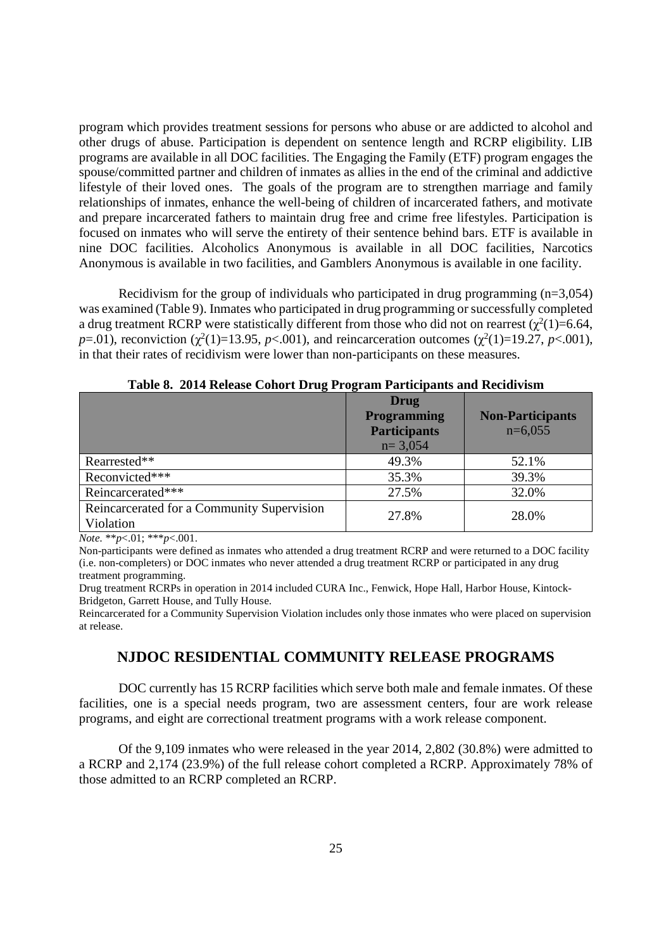program which provides treatment sessions for persons who abuse or are addicted to alcohol and other drugs of abuse. Participation is dependent on sentence length and RCRP eligibility. LIB programs are available in all DOC facilities. The Engaging the Family (ETF) program engages the spouse/committed partner and children of inmates as allies in the end of the criminal and addictive lifestyle of their loved ones. The goals of the program are to strengthen marriage and family relationships of inmates, enhance the well-being of children of incarcerated fathers, and motivate and prepare incarcerated fathers to maintain drug free and crime free lifestyles. Participation is focused on inmates who will serve the entirety of their sentence behind bars. ETF is available in nine DOC facilities. Alcoholics Anonymous is available in all DOC facilities, Narcotics Anonymous is available in two facilities, and Gamblers Anonymous is available in one facility.

Recidivism for the group of individuals who participated in drug programming  $(n=3.054)$ was examined (Table 9). Inmates who participated in drug programming or successfully completed a drug treatment RCRP were statistically different from those who did not on rearrest  $(\chi^2(1)=6.64,$ *p*=.01), reconviction ( $\chi^2(1)$ =13.95, *p*<.001), and reincarceration outcomes ( $\chi^2(1)$ =19.27, *p*<.001), in that their rates of recidivism were lower than non-participants on these measures.

|                                                         | Drug<br><b>Programming</b><br><b>Participants</b><br>$n=3,054$ | <b>Non-Participants</b><br>$n=6,055$ |
|---------------------------------------------------------|----------------------------------------------------------------|--------------------------------------|
| Rearrested**                                            | 49.3%                                                          | 52.1%                                |
| Reconvicted***                                          | 35.3%                                                          | 39.3%                                |
| Reincarcerated***                                       | 27.5%                                                          | 32.0%                                |
| Reincarcerated for a Community Supervision<br>Violation | 27.8%                                                          | 28.0%                                |

**Table 8. 2014 Release Cohort Drug Program Participants and Recidivism** 

*Note.* \*\**p*<.01; \*\*\**p*<.001.

Non-participants were defined as inmates who attended a drug treatment RCRP and were returned to a DOC facility (i.e. non-completers) or DOC inmates who never attended a drug treatment RCRP or participated in any drug treatment programming.

Drug treatment RCRPs in operation in 2014 included CURA Inc., Fenwick, Hope Hall, Harbor House, Kintock-Bridgeton, Garrett House, and Tully House.

Reincarcerated for a Community Supervision Violation includes only those inmates who were placed on supervision at release.

#### **NJDOC RESIDENTIAL COMMUNITY RELEASE PROGRAMS**

DOC currently has 15 RCRP facilities which serve both male and female inmates. Of these facilities, one is a special needs program, two are assessment centers, four are work release programs, and eight are correctional treatment programs with a work release component.

Of the 9,109 inmates who were released in the year 2014, 2,802 (30.8%) were admitted to a RCRP and 2,174 (23.9%) of the full release cohort completed a RCRP. Approximately 78% of those admitted to an RCRP completed an RCRP.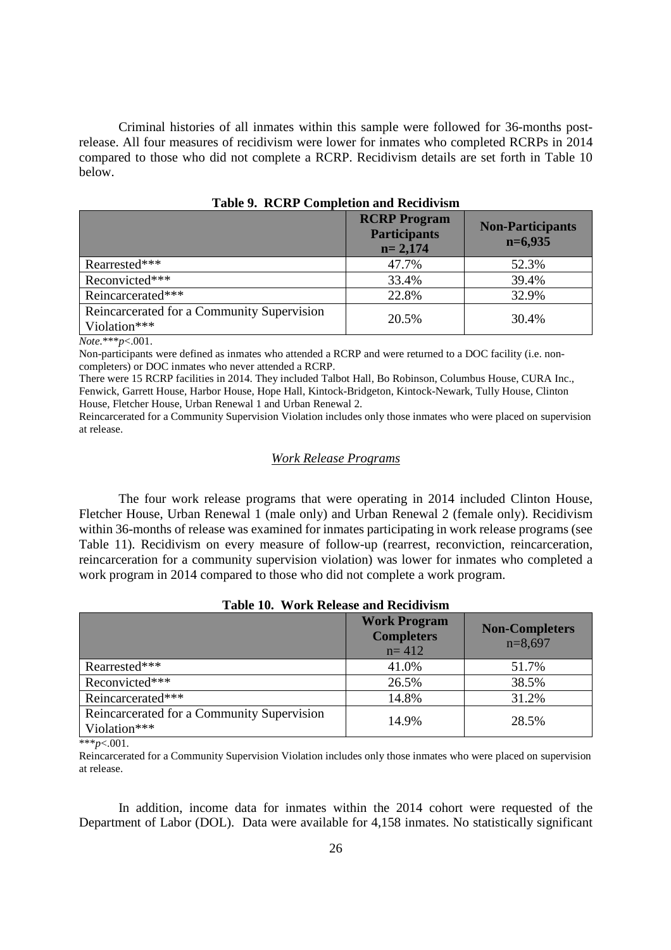Criminal histories of all inmates within this sample were followed for 36-months postrelease. All four measures of recidivism were lower for inmates who completed RCRPs in 2014 compared to those who did not complete a RCRP. Recidivism details are set forth in Table 10 below.

|                                                            | <b>RCRP</b> Program<br><b>Participants</b><br>$n = 2,174$ | <b>Non-Participants</b><br>$n=6,935$ |
|------------------------------------------------------------|-----------------------------------------------------------|--------------------------------------|
| Rearrested***                                              | 47.7%                                                     | 52.3%                                |
| Reconvicted***                                             | 33.4%                                                     | 39.4%                                |
| Reincarcerated***                                          | 22.8%                                                     | 32.9%                                |
| Reincarcerated for a Community Supervision<br>Violation*** | 20.5%                                                     | 30.4%                                |

**Table 9. RCRP Completion and Recidivism** 

*Note.*\*\*\**p*<.001.

Non-participants were defined as inmates who attended a RCRP and were returned to a DOC facility (i.e. noncompleters) or DOC inmates who never attended a RCRP.

There were 15 RCRP facilities in 2014. They included Talbot Hall, Bo Robinson, Columbus House, CURA Inc., Fenwick, Garrett House, Harbor House, Hope Hall, Kintock-Bridgeton, Kintock-Newark, Tully House, Clinton House, Fletcher House, Urban Renewal 1 and Urban Renewal 2.

Reincarcerated for a Community Supervision Violation includes only those inmates who were placed on supervision at release.

#### *Work Release Programs*

The four work release programs that were operating in 2014 included Clinton House, Fletcher House, Urban Renewal 1 (male only) and Urban Renewal 2 (female only). Recidivism within 36-months of release was examined for inmates participating in work release programs (see Table 11). Recidivism on every measure of follow-up (rearrest, reconviction, reincarceration, reincarceration for a community supervision violation) was lower for inmates who completed a work program in 2014 compared to those who did not complete a work program.

#### **Table 10. Work Release and Recidivism**

|                                                            | <b>Work Program</b><br><b>Completers</b><br>$n = 412$ | <b>Non-Completers</b><br>$n=8,697$ |
|------------------------------------------------------------|-------------------------------------------------------|------------------------------------|
| Rearrested***                                              | 41.0%                                                 | 51.7%                              |
| Reconvicted***                                             | 26.5%                                                 | 38.5%                              |
| Reincarcerated***                                          | 14.8%                                                 | 31.2%                              |
| Reincarcerated for a Community Supervision<br>Violation*** | 14.9%                                                 | 28.5%                              |

\*\*\**p*<.001.

Reincarcerated for a Community Supervision Violation includes only those inmates who were placed on supervision at release.

In addition, income data for inmates within the 2014 cohort were requested of the Department of Labor (DOL). Data were available for 4,158 inmates. No statistically significant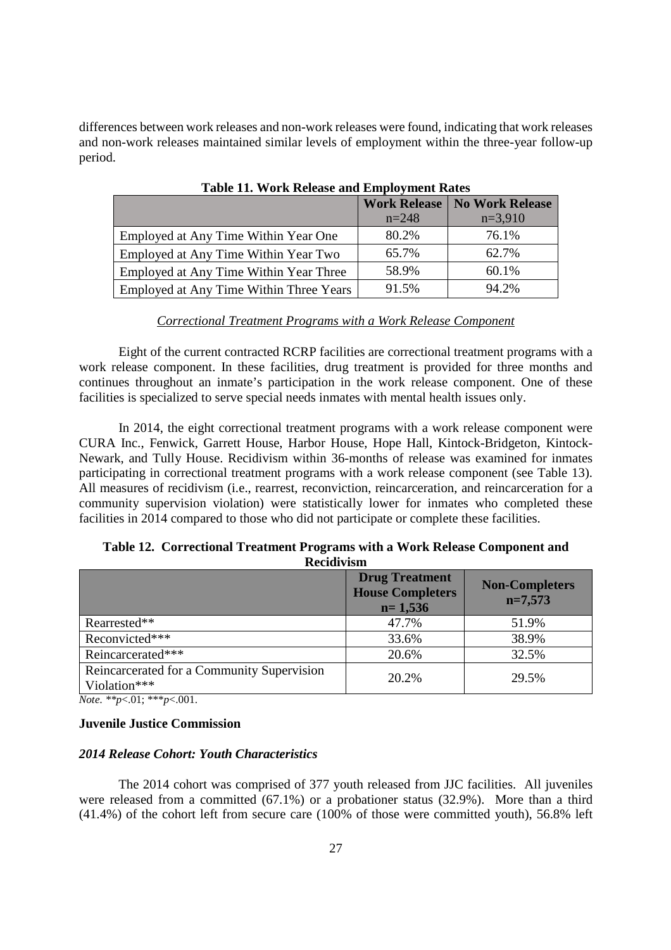differences between work releases and non-work releases were found, indicating that work releases and non-work releases maintained similar levels of employment within the three-year follow-up period.

|                                         | <b>Work Release</b> | No Work Release |
|-----------------------------------------|---------------------|-----------------|
|                                         | $n=248$             | $n=3,910$       |
| Employed at Any Time Within Year One    | 80.2%               | 76.1%           |
| Employed at Any Time Within Year Two    | 65.7%               | 62.7%           |
| Employed at Any Time Within Year Three  | 58.9%               | 60.1%           |
| Employed at Any Time Within Three Years | 91.5%               | 94.2%           |

**Table 11. Work Release and Employment Rates** 

#### *Correctional Treatment Programs with a Work Release Component*

Eight of the current contracted RCRP facilities are correctional treatment programs with a work release component. In these facilities, drug treatment is provided for three months and continues throughout an inmate's participation in the work release component. One of these facilities is specialized to serve special needs inmates with mental health issues only.

In 2014, the eight correctional treatment programs with a work release component were CURA Inc., Fenwick, Garrett House, Harbor House, Hope Hall, Kintock-Bridgeton, Kintock-Newark, and Tully House. Recidivism within 36-months of release was examined for inmates participating in correctional treatment programs with a work release component (see Table 13). All measures of recidivism (i.e., rearrest, reconviction, reincarceration, and reincarceration for a community supervision violation) were statistically lower for inmates who completed these facilities in 2014 compared to those who did not participate or complete these facilities.

**Table 12. Correctional Treatment Programs with a Work Release Component and Recidivism** 

|                                                            | <b>Drug Treatment</b><br><b>House Completers</b><br>$n=1,536$ | <b>Non-Completers</b><br>$n=7,573$ |
|------------------------------------------------------------|---------------------------------------------------------------|------------------------------------|
| Rearrested**                                               | 47.7%                                                         | 51.9%                              |
| Reconvicted***                                             | 33.6%                                                         | 38.9%                              |
| Reincarcerated***                                          | 20.6%                                                         | 32.5%                              |
| Reincarcerated for a Community Supervision<br>Violation*** | 20.2%                                                         | 29.5%                              |

*Note. \*\*p*<.01; \*\*\**p*<.001.

#### **Juvenile Justice Commission**

#### *2014 Release Cohort: Youth Characteristics*

The 2014 cohort was comprised of 377 youth released from JJC facilities. All juveniles were released from a committed (67.1%) or a probationer status (32.9%). More than a third (41.4%) of the cohort left from secure care (100% of those were committed youth), 56.8% left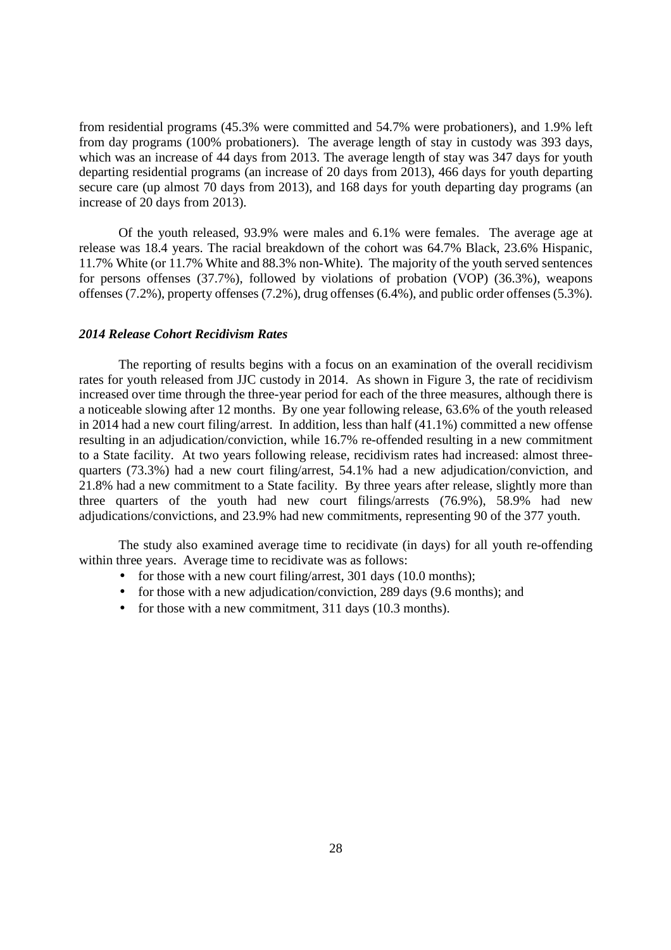from residential programs (45.3% were committed and 54.7% were probationers), and 1.9% left from day programs (100% probationers). The average length of stay in custody was 393 days, which was an increase of 44 days from 2013. The average length of stay was 347 days for youth departing residential programs (an increase of 20 days from 2013), 466 days for youth departing secure care (up almost 70 days from 2013), and 168 days for youth departing day programs (an increase of 20 days from 2013).

Of the youth released, 93.9% were males and 6.1% were females. The average age at release was 18.4 years. The racial breakdown of the cohort was 64.7% Black, 23.6% Hispanic, 11.7% White (or 11.7% White and 88.3% non-White). The majority of the youth served sentences for persons offenses (37.7%), followed by violations of probation (VOP) (36.3%), weapons offenses (7.2%), property offenses (7.2%), drug offenses (6.4%), and public order offenses (5.3%).

#### *2014 Release Cohort Recidivism Rates*

The reporting of results begins with a focus on an examination of the overall recidivism rates for youth released from JJC custody in 2014. As shown in Figure 3, the rate of recidivism increased over time through the three-year period for each of the three measures, although there is a noticeable slowing after 12 months. By one year following release, 63.6% of the youth released in 2014 had a new court filing/arrest. In addition, less than half (41.1%) committed a new offense resulting in an adjudication/conviction, while 16.7% re-offended resulting in a new commitment to a State facility. At two years following release, recidivism rates had increased: almost threequarters (73.3%) had a new court filing/arrest, 54.1% had a new adjudication/conviction, and 21.8% had a new commitment to a State facility. By three years after release, slightly more than three quarters of the youth had new court filings/arrests (76.9%), 58.9% had new adjudications/convictions, and 23.9% had new commitments, representing 90 of the 377 youth.

The study also examined average time to recidivate (in days) for all youth re-offending within three years. Average time to recidivate was as follows:

- for those with a new court filing/arrest, 301 days (10.0 months);
- for those with a new adjudication/conviction, 289 days (9.6 months); and
- for those with a new commitment, 311 days (10.3 months).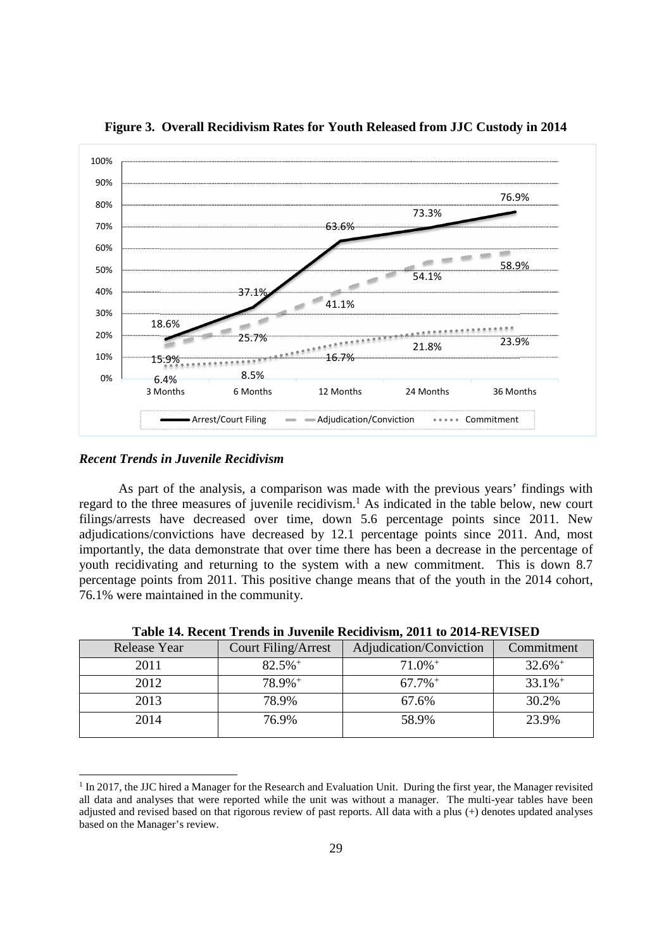

**Figure 3. Overall Recidivism Rates for Youth Released from JJC Custody in 2014** 

#### *Recent Trends in Juvenile Recidivism*

 $\overline{a}$ 

As part of the analysis, a comparison was made with the previous years' findings with regard to the three measures of juvenile recidivism.<sup>1</sup> As indicated in the table below, new court filings/arrests have decreased over time, down 5.6 percentage points since 2011. New adjudications/convictions have decreased by 12.1 percentage points since 2011. And, most importantly, the data demonstrate that over time there has been a decrease in the percentage of youth recidivating and returning to the system with a new commitment. This is down 8.7 percentage points from 2011. This positive change means that of the youth in the 2014 cohort, 76.1% were maintained in the community.

| Release Year | <b>Court Filing/Arrest</b> | Adjudication/Conviction | Commitment            |
|--------------|----------------------------|-------------------------|-----------------------|
| 2011         | $82.5%$ <sup>+</sup>       | $71.0\%$ <sup>+</sup>   | $32.6\%$ <sup>+</sup> |
| 2012         | 78.9%+                     | $67.7\%$ <sup>+</sup>   | $33.1\%$ <sup>+</sup> |
| 2013         | 78.9%                      | 67.6%                   | 30.2%                 |
| 2014         | 76.9%                      | 58.9%                   | 23.9%                 |
|              |                            |                         |                       |

**Table 14. Recent Trends in Juvenile Recidivism, 2011 to 2014-REVISED** 

<sup>&</sup>lt;sup>1</sup> In 2017, the JJC hired a Manager for the Research and Evaluation Unit. During the first year, the Manager revisited all data and analyses that were reported while the unit was without a manager. The multi-year tables have been adjusted and revised based on that rigorous review of past reports. All data with a plus (+) denotes updated analyses based on the Manager's review.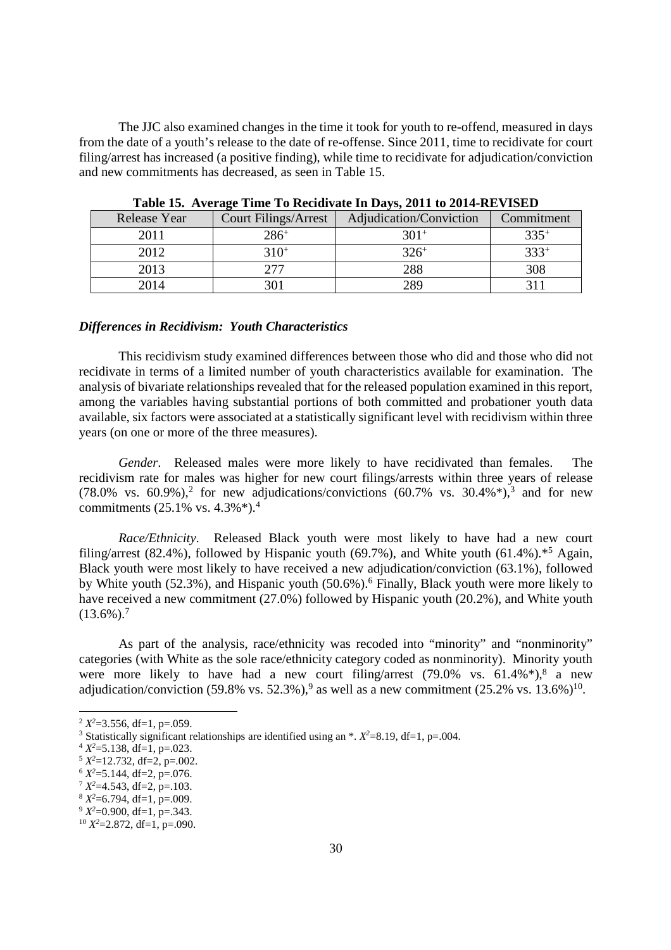The JJC also examined changes in the time it took for youth to re-offend, measured in days from the date of a youth's release to the date of re-offense. Since 2011, time to recidivate for court filing/arrest has increased (a positive finding), while time to recidivate for adjudication/conviction and new commitments has decreased, as seen in Table 15.

| <b>Release Year</b> |      | <b>Court Filings/Arrest</b> | Adjudication/Conviction | Commitment |  |
|---------------------|------|-----------------------------|-------------------------|------------|--|
|                     | 2011 | $286+$                      | $301+$                  | $335^{+}$  |  |
|                     | 2012 | $310+$                      | $326^+$                 | $333^{+}$  |  |
|                     | 2013 | 277                         | 288                     | 308        |  |
|                     | 2014 | 301                         | 280                     |            |  |

**Table 15. Average Time To Recidivate In Days, 2011 to 2014-REVISED** 

#### *Differences in Recidivism: Youth Characteristics*

This recidivism study examined differences between those who did and those who did not recidivate in terms of a limited number of youth characteristics available for examination. The analysis of bivariate relationships revealed that for the released population examined in this report, among the variables having substantial portions of both committed and probationer youth data available, six factors were associated at a statistically significant level with recidivism within three years (on one or more of the three measures).

*Gender*. Released males were more likely to have recidivated than females. The recidivism rate for males was higher for new court filings/arrests within three years of release  $(78.0\% \text{ vs. } 60.9\%),^2$  for new adjudications/convictions  $(60.7\% \text{ vs. } 30.4\%),^3$  and for new commitments (25.1% vs. 4.3%\*).<sup>4</sup>

*Race/Ethnicity*. Released Black youth were most likely to have had a new court filing/arrest (82.4%), followed by Hispanic youth (69.7%), and White youth (61.4%).<sup>\*5</sup> Again, Black youth were most likely to have received a new adjudication/conviction (63.1%), followed by White youth (52.3%), and Hispanic youth (50.6%).<sup>6</sup> Finally, Black youth were more likely to have received a new commitment (27.0%) followed by Hispanic youth (20.2%), and White youth  $(13.6\%)$ <sup>7</sup>

As part of the analysis, race/ethnicity was recoded into "minority" and "nonminority" categories (with White as the sole race/ethnicity category coded as nonminority). Minority youth were more likely to have had a new court filing/arrest  $(79.0\% \text{ vs. } 61.4\%^*)$ , a new adjudication/conviction  $(59.8\% \text{ vs. } 52.3\%),$ <sup>9</sup> as well as a new commitment  $(25.2\% \text{ vs. } 13.6\%)$ <sup>10</sup>.

<u>.</u>

 $2 X^2 = 3.556$ , df=1, p=.059.

<sup>&</sup>lt;sup>3</sup> Statistically significant relationships are identified using an  $*$ .  $X^2=8.19$ , df=1, p=.004.

 $4 X^2 = 5.138$ , df=1, p=.023.

 $5 X^2 = 12.732$ , df=2, p=.002.

 $6 X^2 = 5.144$ , df=2, p=.076.

 $7 X^2 = 4.543$ , df=2, p=.103.

<sup>8</sup> *X <sup>2</sup>*=6.794, df=1, p=.009.

 $9 X^2 = 0.900$ , df=1, p=.343.

 $10 X^2 = 2.872$ , df=1, p=.090.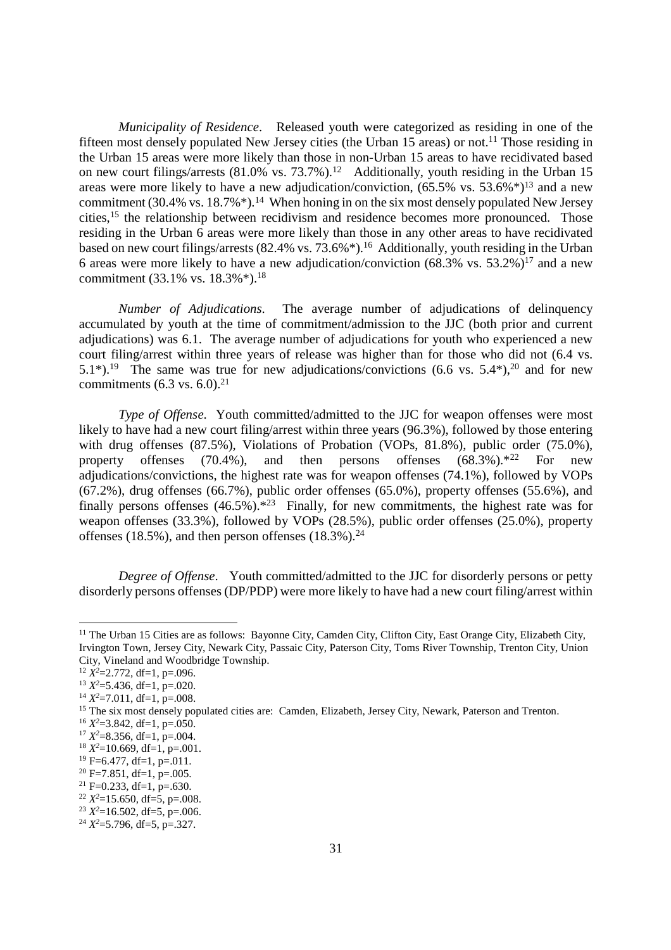*Municipality of Residence*. Released youth were categorized as residing in one of the fifteen most densely populated New Jersey cities (the Urban 15 areas) or not.<sup>11</sup> Those residing in the Urban 15 areas were more likely than those in non-Urban 15 areas to have recidivated based on new court filings/arrests  $(81.0\% \text{ vs. } 73.7\%)$ .<sup>12</sup> Additionally, youth residing in the Urban 15 areas were more likely to have a new adjudication/conviction,  $(65.5\% \text{ vs. } 53.6\%^*)^{13}$  and a new commitment (30.4% vs. 18.7% $*$ ).<sup>14</sup> When honing in on the six most densely populated New Jersey cities,<sup>15</sup> the relationship between recidivism and residence becomes more pronounced. Those residing in the Urban 6 areas were more likely than those in any other areas to have recidivated based on new court filings/arrests (82.4% vs. 73.6%\*).<sup>16</sup> Additionally, youth residing in the Urban 6 areas were more likely to have a new adjudication/conviction  $(68.3\% \text{ vs. } 53.2\%)^{17}$  and a new commitment (33.1% vs.  $18.3\%$ <sup>\*</sup>).<sup>18</sup>

*Number of Adjudications*. The average number of adjudications of delinquency accumulated by youth at the time of commitment/admission to the JJC (both prior and current adjudications) was 6.1. The average number of adjudications for youth who experienced a new court filing/arrest within three years of release was higher than for those who did not (6.4 vs. 5.1<sup>\*</sup>).<sup>19</sup> The same was true for new adjudications/convictions (6.6 vs. 5.4<sup>\*</sup>),<sup>20</sup> and for new commitments  $(6.3 \text{ vs. } 6.0).^{21}$ 

*Type of Offense.* Youth committed/admitted to the JJC for weapon offenses were most likely to have had a new court filing/arrest within three years (96.3%), followed by those entering with drug offenses (87.5%), Violations of Probation (VOPs, 81.8%), public order (75.0%), property offenses (70.4%), and then persons offenses  $(68.3\%)$ <sup>\*22</sup> For new adjudications/convictions, the highest rate was for weapon offenses (74.1%), followed by VOPs  $(67.2\%)$ , drug offenses  $(66.7\%)$ , public order offenses  $(65.0\%)$ , property offenses  $(55.6\%)$ , and finally persons offenses  $(46.5\%)$ <sup>\*23</sup> Finally, for new commitments, the highest rate was for weapon offenses (33.3%), followed by VOPs (28.5%), public order offenses (25.0%), property offenses (18.5%), and then person offenses (18.3%).<sup>24</sup>

*Degree of Offense*. Youth committed/admitted to the JJC for disorderly persons or petty disorderly persons offenses (DP/PDP) were more likely to have had a new court filing/arrest within

 $12 X^2 = 2.772$ , df=1, p=.096.

<u>.</u>

<sup>&</sup>lt;sup>11</sup> The Urban 15 Cities are as follows: Bayonne City, Camden City, Clifton City, East Orange City, Elizabeth City, Irvington Town, Jersey City, Newark City, Passaic City, Paterson City, Toms River Township, Trenton City, Union City, Vineland and Woodbridge Township.

 $13 X^2 = 5.436$ , df=1, p=.020.

 $14 X^2 = 7.011$ , df=1, p=.008.

<sup>&</sup>lt;sup>15</sup> The six most densely populated cities are: Camden, Elizabeth, Jersey City, Newark, Paterson and Trenton.

 $16 X^2 = 3.842$ , df=1, p=.050.

 $17 X^2 = 8.356$ , df=1, p=.004.

 $18 X^2 = 10.669$ , df=1, p=.001.

 $19$  F=6.477, df=1, p=.011.

 $20$  F=7.851, df=1, p=.005.

 $21$  F=0.233, df=1, p=.630.

 $22 X^2 = 15.650$ , df=5, p=.008.

 $2^3$   $X^2$ =16.502, df=5, p=.006.

<sup>24</sup> *X 2*=5.796, df=5, p=.327.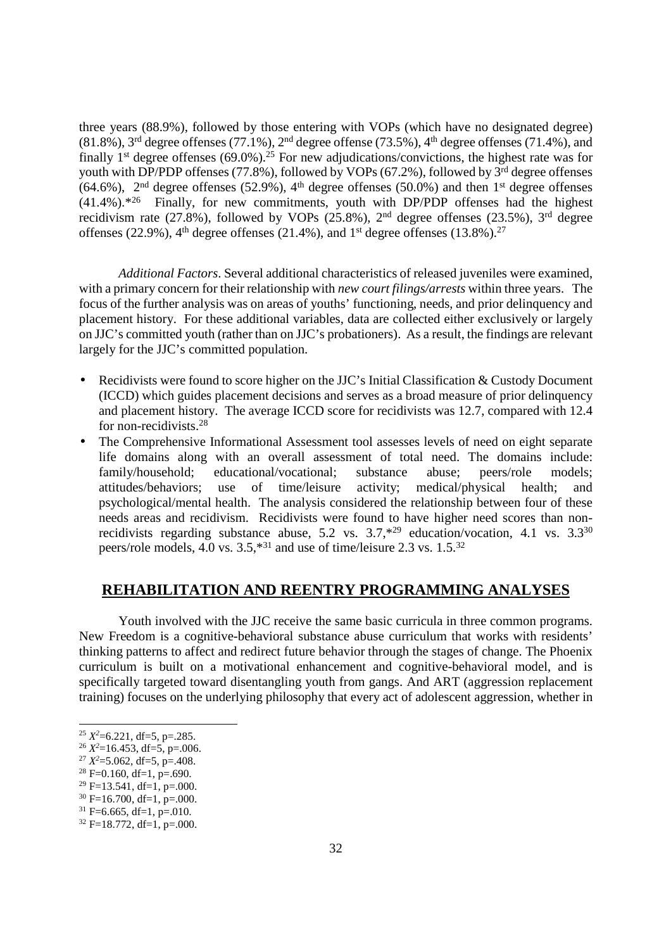three years (88.9%), followed by those entering with VOPs (which have no designated degree)  $(81.8\%)$ ,  $3<sup>rd</sup>$  degree offenses (77.1%),  $2<sup>nd</sup>$  degree offense (73.5%),  $4<sup>th</sup>$  degree offenses (71.4%), and finally  $1<sup>st</sup>$  degree offenses (69.0%).<sup>25</sup> For new adjudications/convictions, the highest rate was for youth with DP/PDP offenses (77.8%), followed by VOPs (67.2%), followed by 3<sup>rd</sup> degree offenses  $(64.6\%)$ ,  $2<sup>nd</sup>$  degree offenses (52.9%), 4<sup>th</sup> degree offenses (50.0%) and then 1<sup>st</sup> degree offenses  $(41.4\%)$ <sup>\*26</sup> Finally, for new commitments, youth with DP/PDP offenses had the highest recidivism rate  $(27.8\%)$ , followed by VOPs  $(25.8\%)$ ,  $2<sup>nd</sup>$  degree offenses  $(23.5\%)$ ,  $3<sup>rd</sup>$  degree offenses (22.9%),  $4<sup>th</sup>$  degree offenses (21.4%), and  $1<sup>st</sup>$  degree offenses (13.8%).<sup>27</sup>

*Additional Factors*. Several additional characteristics of released juveniles were examined, with a primary concern for their relationship with *new court filings/arrests* within three years. The focus of the further analysis was on areas of youths' functioning, needs, and prior delinquency and placement history. For these additional variables, data are collected either exclusively or largely on JJC's committed youth (rather than on JJC's probationers). As a result, the findings are relevant largely for the JJC's committed population.

- Recidivists were found to score higher on the JJC's Initial Classification & Custody Document (ICCD) which guides placement decisions and serves as a broad measure of prior delinquency and placement history. The average ICCD score for recidivists was 12.7, compared with 12.4 for non-recidivists.<sup>28</sup>
- The Comprehensive Informational Assessment tool assesses levels of need on eight separate life domains along with an overall assessment of total need. The domains include: family/household; educational/vocational; substance abuse; peers/role models; attitudes/behaviors; use of time/leisure activity; medical/physical health; and psychological/mental health. The analysis considered the relationship between four of these needs areas and recidivism. Recidivists were found to have higher need scores than nonrecidivists regarding substance abuse, 5.2 vs.  $3.7,*^{29}$  education/vocation, 4.1 vs.  $3.3^{30}$ peers/role models, 4.0 vs. 3.5,\*<sup>31</sup> and use of time/leisure 2.3 vs. 1.5.<sup>32</sup>

### **REHABILITATION AND REENTRY PROGRAMMING ANALYSES**

Youth involved with the JJC receive the same basic curricula in three common programs. New Freedom is a cognitive-behavioral substance abuse curriculum that works with residents' thinking patterns to affect and redirect future behavior through the stages of change. The Phoenix curriculum is built on a motivational enhancement and cognitive-behavioral model, and is specifically targeted toward disentangling youth from gangs. And ART (aggression replacement training) focuses on the underlying philosophy that every act of adolescent aggression, whether in

<u>.</u>

 $28$  F=0.160, df=1, p=.690.

 $25 X^2 = 6.221$ , df=5, p=.285.

 $2^6$   $X^2$ =16.453, df=5, p=.006.

 $2^7 X^2 = 5.062$ , df=5, p=.408.

 $29$  F=13.541, df=1, p=.000.

 $30$  F=16.700, df=1, p=.000.

 $31$  F=6.665, df=1, p=.010.

 $32$  F=18.772, df=1, p=.000.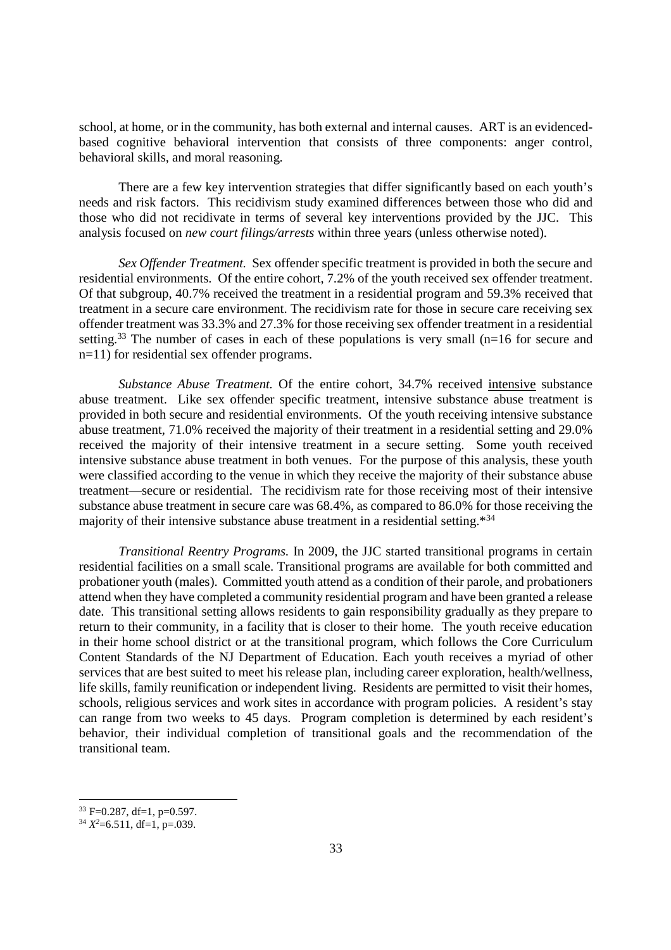school, at home, or in the community, has both external and internal causes. ART is an evidencedbased cognitive behavioral intervention that consists of three components: anger control, behavioral skills, and moral reasoning.

There are a few key intervention strategies that differ significantly based on each youth's needs and risk factors. This recidivism study examined differences between those who did and those who did not recidivate in terms of several key interventions provided by the JJC. This analysis focused on *new court filings/arrests* within three years (unless otherwise noted).

*Sex Offender Treatment.* Sex offender specific treatment is provided in both the secure and residential environments. Of the entire cohort, 7.2% of the youth received sex offender treatment. Of that subgroup, 40.7% received the treatment in a residential program and 59.3% received that treatment in a secure care environment. The recidivism rate for those in secure care receiving sex offender treatment was 33.3% and 27.3% for those receiving sex offender treatment in a residential setting.<sup>33</sup> The number of cases in each of these populations is very small ( $n=16$  for secure and n=11) for residential sex offender programs.

*Substance Abuse Treatment.* Of the entire cohort, 34.7% received intensive substance abuse treatment. Like sex offender specific treatment, intensive substance abuse treatment is provided in both secure and residential environments. Of the youth receiving intensive substance abuse treatment, 71.0% received the majority of their treatment in a residential setting and 29.0% received the majority of their intensive treatment in a secure setting. Some youth received intensive substance abuse treatment in both venues. For the purpose of this analysis, these youth were classified according to the venue in which they receive the majority of their substance abuse treatment—secure or residential. The recidivism rate for those receiving most of their intensive substance abuse treatment in secure care was 68.4%, as compared to 86.0% for those receiving the majority of their intensive substance abuse treatment in a residential setting.\*<sup>34</sup>

*Transitional Reentry Programs.* In 2009, the JJC started transitional programs in certain residential facilities on a small scale. Transitional programs are available for both committed and probationer youth (males). Committed youth attend as a condition of their parole, and probationers attend when they have completed a community residential program and have been granted a release date. This transitional setting allows residents to gain responsibility gradually as they prepare to return to their community, in a facility that is closer to their home. The youth receive education in their home school district or at the transitional program, which follows the Core Curriculum Content Standards of the NJ Department of Education. Each youth receives a myriad of other services that are best suited to meet his release plan, including career exploration, health/wellness, life skills, family reunification or independent living. Residents are permitted to visit their homes, schools, religious services and work sites in accordance with program policies. A resident's stay can range from two weeks to 45 days. Program completion is determined by each resident's behavior, their individual completion of transitional goals and the recommendation of the transitional team.

<u>.</u>

 $33$  F=0.287, df=1, p=0.597.

 $3^4$   $X^2$ =6.511, df=1, p=.039.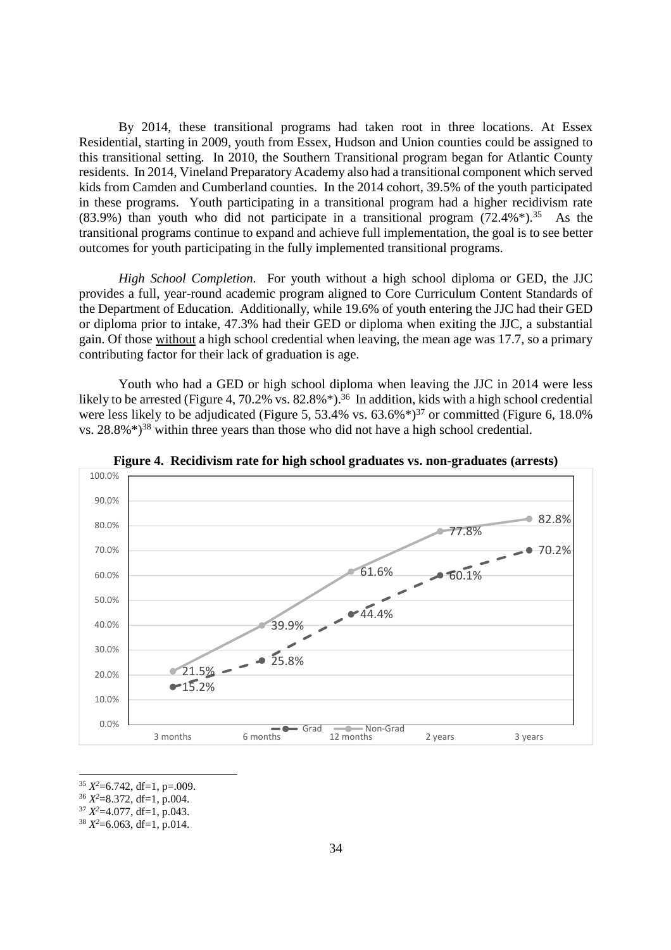By 2014, these transitional programs had taken root in three locations. At Essex Residential, starting in 2009, youth from Essex, Hudson and Union counties could be assigned to this transitional setting. In 2010, the Southern Transitional program began for Atlantic County residents. In 2014, Vineland Preparatory Academy also had a transitional component which served kids from Camden and Cumberland counties. In the 2014 cohort, 39.5% of the youth participated in these programs. Youth participating in a transitional program had a higher recidivism rate  $(83.9\%)$  than youth who did not participate in a transitional program  $(72.4\%)$ <sup>35</sup> As the transitional programs continue to expand and achieve full implementation, the goal is to see better outcomes for youth participating in the fully implemented transitional programs.

*High School Completion.* For youth without a high school diploma or GED, the JJC provides a full, year-round academic program aligned to Core Curriculum Content Standards of the Department of Education. Additionally, while 19.6% of youth entering the JJC had their GED or diploma prior to intake, 47.3% had their GED or diploma when exiting the JJC, a substantial gain. Of those without a high school credential when leaving, the mean age was 17.7, so a primary contributing factor for their lack of graduation is age.

Youth who had a GED or high school diploma when leaving the JJC in 2014 were less likely to be arrested (Figure 4, 70.2% vs. 82.8%\*).<sup>36</sup> In addition, kids with a high school credential were less likely to be adjudicated (Figure 5, 53.4% vs.  $63.6\%$ <sup>\*) $37$ </sup> or committed (Figure 6, 18.0%) vs.  $28.8\%$ <sup> $\ast$ )<sup>38</sup> within three years than those who did not have a high school credential.</sup>



**Figure 4. Recidivism rate for high school graduates vs. non-graduates (arrests)** 

<sup>37</sup> *X <sup>2</sup>*=4.077, df=1, p.043.

<sup>&</sup>lt;u>.</u> <sup>35</sup> *X <sup>2</sup>*=6.742, df=1, p=.009.

<sup>36</sup> *X <sup>2</sup>*=8.372, df=1, p.004.

 $38 X^2 = 6.063$ , df=1, p.014.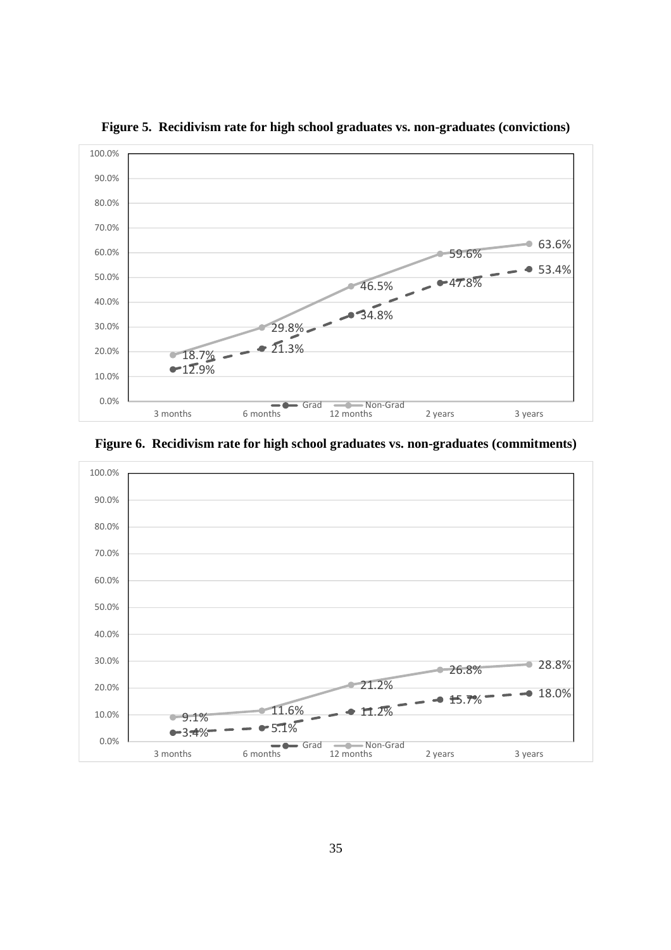

**Figure 5. Recidivism rate for high school graduates vs. non-graduates (convictions)** 

**Figure 6. Recidivism rate for high school graduates vs. non-graduates (commitments)** 

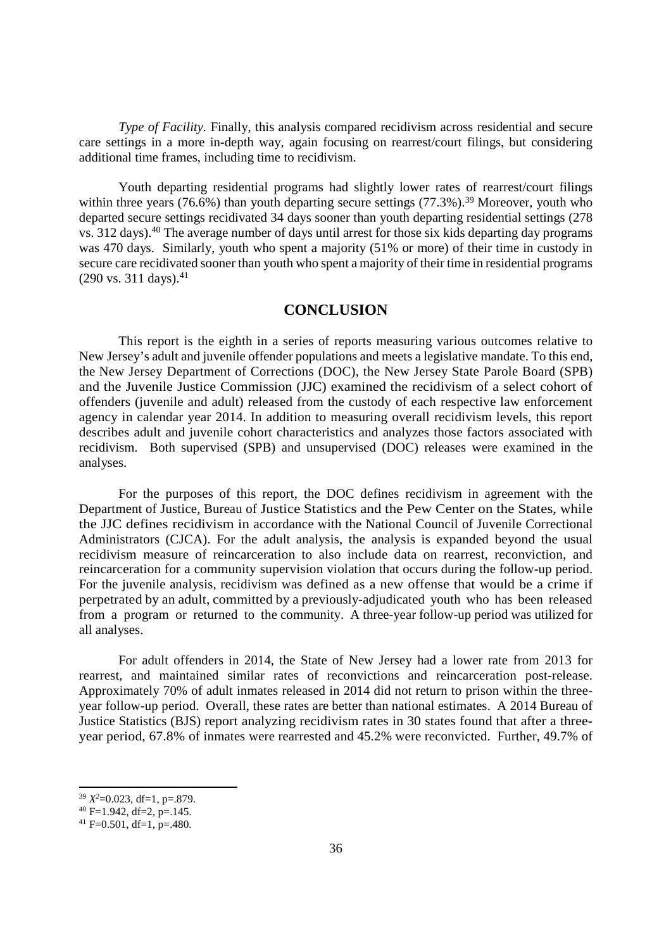*Type of Facility.* Finally, this analysis compared recidivism across residential and secure care settings in a more in-depth way, again focusing on rearrest/court filings, but considering additional time frames, including time to recidivism.

Youth departing residential programs had slightly lower rates of rearrest/court filings within three years (76.6%) than youth departing secure settings (77.3%).<sup>39</sup> Moreover, youth who departed secure settings recidivated 34 days sooner than youth departing residential settings (278 vs. 312 days).<sup>40</sup> The average number of days until arrest for those six kids departing day programs was 470 days. Similarly, youth who spent a majority (51% or more) of their time in custody in secure care recidivated sooner than youth who spent a majority of their time in residential programs  $(290 \text{ vs. } 311 \text{ days}).^{41}$ 

#### **CONCLUSION**

This report is the eighth in a series of reports measuring various outcomes relative to New Jersey's adult and juvenile offender populations and meets a legislative mandate. To this end, the New Jersey Department of Corrections (DOC), the New Jersey State Parole Board (SPB) and the Juvenile Justice Commission (JJC) examined the recidivism of a select cohort of offenders (juvenile and adult) released from the custody of each respective law enforcement agency in calendar year 2014. In addition to measuring overall recidivism levels, this report describes adult and juvenile cohort characteristics and analyzes those factors associated with recidivism. Both supervised (SPB) and unsupervised (DOC) releases were examined in the analyses.

For the purposes of this report, the DOC defines recidivism in agreement with the Department of Justice, Bureau of Justice Statistics and the Pew Center on the States, while the JJC defines recidivism in accordance with the National Council of Juvenile Correctional Administrators (CJCA). For the adult analysis, the analysis is expanded beyond the usual recidivism measure of reincarceration to also include data on rearrest, reconviction, and reincarceration for a community supervision violation that occurs during the follow-up period. For the juvenile analysis, recidivism was defined as a new offense that would be a crime if perpetrated by an adult, committed by a previously-adjudicated youth who has been released from a program or returned to the community. A three-year follow-up period was utilized for all analyses.

For adult offenders in 2014, the State of New Jersey had a lower rate from 2013 for rearrest, and maintained similar rates of reconvictions and reincarceration post-release. Approximately 70% of adult inmates released in 2014 did not return to prison within the threeyear follow-up period. Overall, these rates are better than national estimates. A 2014 Bureau of Justice Statistics (BJS) report analyzing recidivism rates in 30 states found that after a threeyear period, 67.8% of inmates were rearrested and 45.2% were reconvicted. Further, 49.7% of

<u>.</u>

<sup>39</sup> *X <sup>2</sup>*=0.023, df=1, p=.879.

 $40$  F=1.942, df=2, p=.145.

 $^{41}$  F=0.501, df=1, p=.480.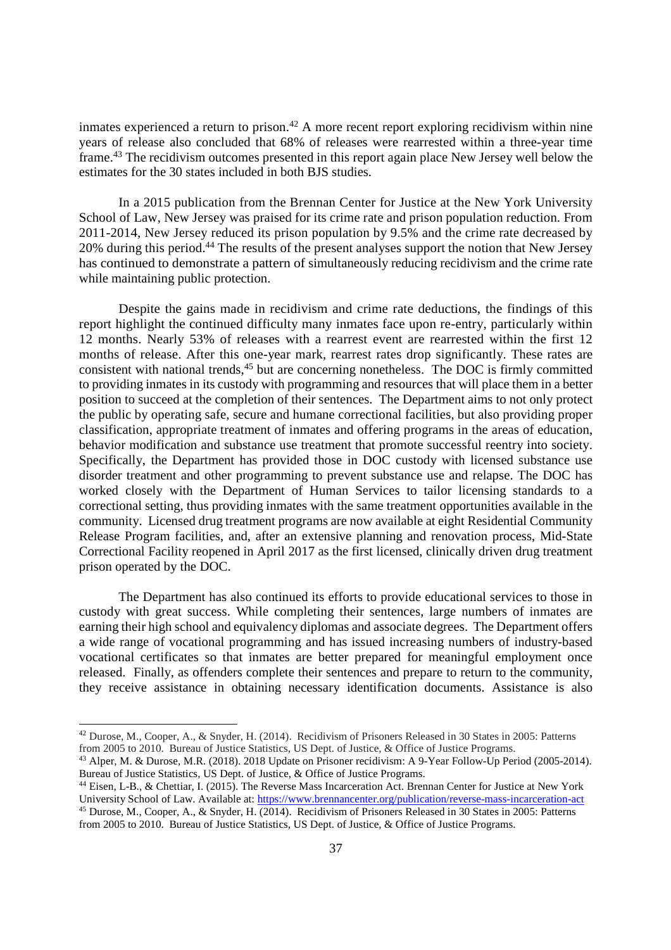inmates experienced a return to prison.<sup>42</sup> A more recent report exploring recidivism within nine years of release also concluded that 68% of releases were rearrested within a three-year time frame.<sup>43</sup> The recidivism outcomes presented in this report again place New Jersey well below the estimates for the 30 states included in both BJS studies.

In a 2015 publication from the Brennan Center for Justice at the New York University School of Law, New Jersey was praised for its crime rate and prison population reduction. From 2011-2014, New Jersey reduced its prison population by 9.5% and the crime rate decreased by 20% during this period.<sup>44</sup> The results of the present analyses support the notion that New Jersey has continued to demonstrate a pattern of simultaneously reducing recidivism and the crime rate while maintaining public protection.

Despite the gains made in recidivism and crime rate deductions, the findings of this report highlight the continued difficulty many inmates face upon re-entry, particularly within 12 months. Nearly 53% of releases with a rearrest event are rearrested within the first 12 months of release. After this one-year mark, rearrest rates drop significantly. These rates are consistent with national trends,<sup>45</sup> but are concerning nonetheless. The DOC is firmly committed to providing inmates in its custody with programming and resources that will place them in a better position to succeed at the completion of their sentences. The Department aims to not only protect the public by operating safe, secure and humane correctional facilities, but also providing proper classification, appropriate treatment of inmates and offering programs in the areas of education, behavior modification and substance use treatment that promote successful reentry into society. Specifically, the Department has provided those in DOC custody with licensed substance use disorder treatment and other programming to prevent substance use and relapse. The DOC has worked closely with the Department of Human Services to tailor licensing standards to a correctional setting, thus providing inmates with the same treatment opportunities available in the community. Licensed drug treatment programs are now available at eight Residential Community Release Program facilities, and, after an extensive planning and renovation process, Mid-State Correctional Facility reopened in April 2017 as the first licensed, clinically driven drug treatment prison operated by the DOC.

The Department has also continued its efforts to provide educational services to those in custody with great success. While completing their sentences, large numbers of inmates are earning their high school and equivalency diplomas and associate degrees. The Department offers a wide range of vocational programming and has issued increasing numbers of industry-based vocational certificates so that inmates are better prepared for meaningful employment once released. Finally, as offenders complete their sentences and prepare to return to the community, they receive assistance in obtaining necessary identification documents. Assistance is also

<u>.</u>

<sup>42</sup> Durose, M., Cooper, A., & Snyder, H. (2014). Recidivism of Prisoners Released in 30 States in 2005: Patterns from 2005 to 2010. Bureau of Justice Statistics, US Dept. of Justice, & Office of Justice Programs.

<sup>43</sup> Alper, M. & Durose, M.R. (2018). 2018 Update on Prisoner recidivism: A 9-Year Follow-Up Period (2005-2014). Bureau of Justice Statistics, US Dept. of Justice, & Office of Justice Programs.

<sup>44</sup> Eisen, L-B., & Chettiar, I. (2015). The Reverse Mass Incarceration Act. Brennan Center for Justice at New York University School of Law. Available at: https://www.brennancenter.org/publication/reverse-mass-incarceration-act

<sup>45</sup> Durose, M., Cooper, A., & Snyder, H. (2014). Recidivism of Prisoners Released in 30 States in 2005: Patterns from 2005 to 2010. Bureau of Justice Statistics, US Dept. of Justice, & Office of Justice Programs.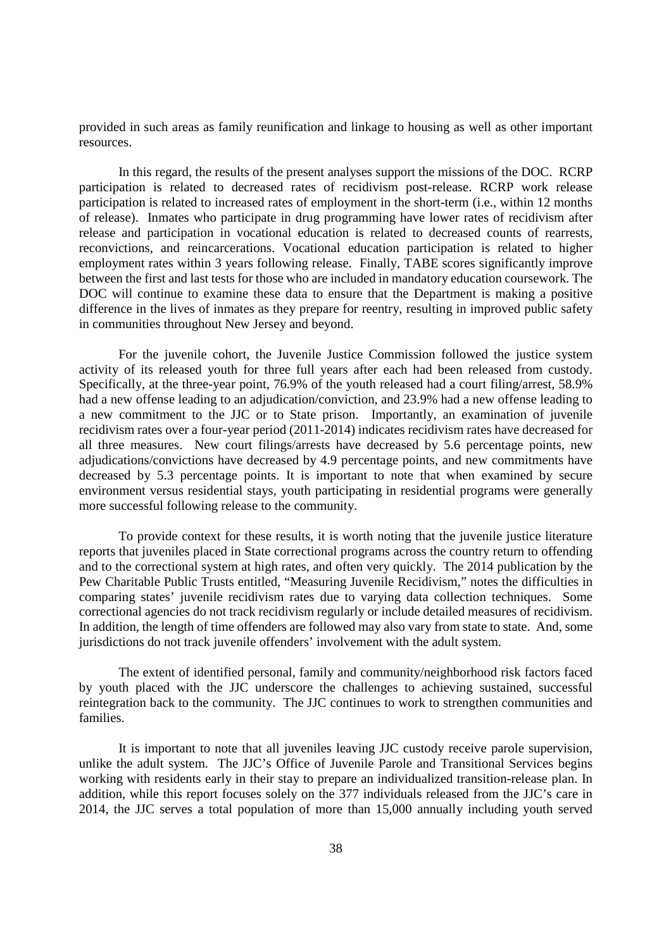provided in such areas as family reunification and linkage to housing as well as other important resources.

In this regard, the results of the present analyses support the missions of the DOC. RCRP participation is related to decreased rates of recidivism post-release. RCRP work release participation is related to increased rates of employment in the short-term (i.e., within 12 months of release). Inmates who participate in drug programming have lower rates of recidivism after release and participation in vocational education is related to decreased counts of rearrests, reconvictions, and reincarcerations. Vocational education participation is related to higher employment rates within 3 years following release. Finally, TABE scores significantly improve between the first and last tests for those who are included in mandatory education coursework. The DOC will continue to examine these data to ensure that the Department is making a positive difference in the lives of inmates as they prepare for reentry, resulting in improved public safety in communities throughout New Jersey and beyond.

For the juvenile cohort, the Juvenile Justice Commission followed the justice system activity of its released youth for three full years after each had been released from custody. Specifically, at the three-year point, 76.9% of the youth released had a court filing/arrest, 58.9% had a new offense leading to an adjudication/conviction, and 23.9% had a new offense leading to a new commitment to the JJC or to State prison. Importantly, an examination of juvenile recidivism rates over a four-year period (2011-2014) indicates recidivism rates have decreased for all three measures. New court filings/arrests have decreased by 5.6 percentage points, new adjudications/convictions have decreased by 4.9 percentage points, and new commitments have decreased by 5.3 percentage points. It is important to note that when examined by secure environment versus residential stays, youth participating in residential programs were generally more successful following release to the community.

To provide context for these results, it is worth noting that the juvenile justice literature reports that juveniles placed in State correctional programs across the country return to offending and to the correctional system at high rates, and often very quickly. The 2014 publication by the Pew Charitable Public Trusts entitled, "Measuring Juvenile Recidivism," notes the difficulties in comparing states' juvenile recidivism rates due to varying data collection techniques. Some correctional agencies do not track recidivism regularly or include detailed measures of recidivism. In addition, the length of time offenders are followed may also vary from state to state. And, some jurisdictions do not track juvenile offenders' involvement with the adult system.

The extent of identified personal, family and community/neighborhood risk factors faced by youth placed with the JJC underscore the challenges to achieving sustained, successful reintegration back to the community. The JJC continues to work to strengthen communities and families.

It is important to note that all juveniles leaving JJC custody receive parole supervision, unlike the adult system. The JJC's Office of Juvenile Parole and Transitional Services begins working with residents early in their stay to prepare an individualized transition-release plan. In addition, while this report focuses solely on the 377 individuals released from the JJC's care in 2014, the JJC serves a total population of more than 15,000 annually including youth served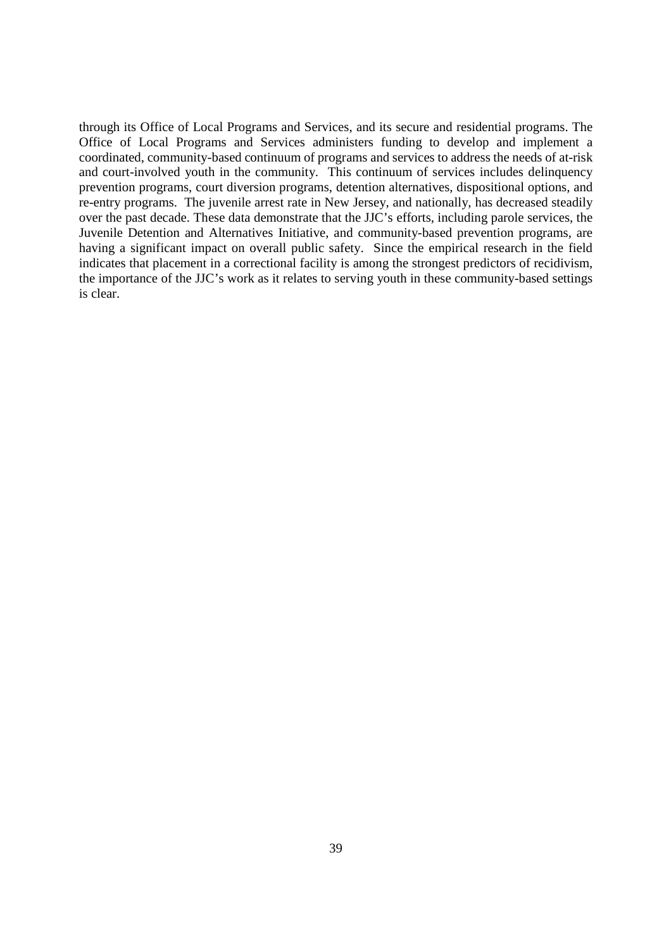through its Office of Local Programs and Services, and its secure and residential programs. The Office of Local Programs and Services administers funding to develop and implement a coordinated, community-based continuum of programs and services to address the needs of at-risk and court-involved youth in the community. This continuum of services includes delinquency prevention programs, court diversion programs, detention alternatives, dispositional options, and re-entry programs. The juvenile arrest rate in New Jersey, and nationally, has decreased steadily over the past decade. These data demonstrate that the JJC's efforts, including parole services, the Juvenile Detention and Alternatives Initiative, and community-based prevention programs, are having a significant impact on overall public safety. Since the empirical research in the field indicates that placement in a correctional facility is among the strongest predictors of recidivism, the importance of the JJC's work as it relates to serving youth in these community-based settings is clear.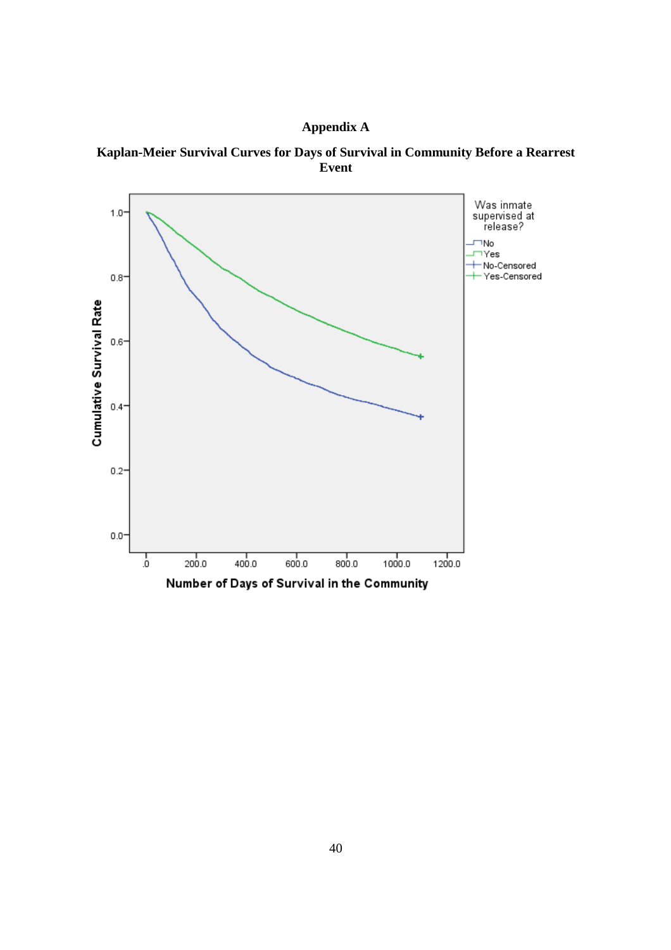

**Kaplan-Meier Survival Curves for Days of Survival in Community Before a Rearrest Event**